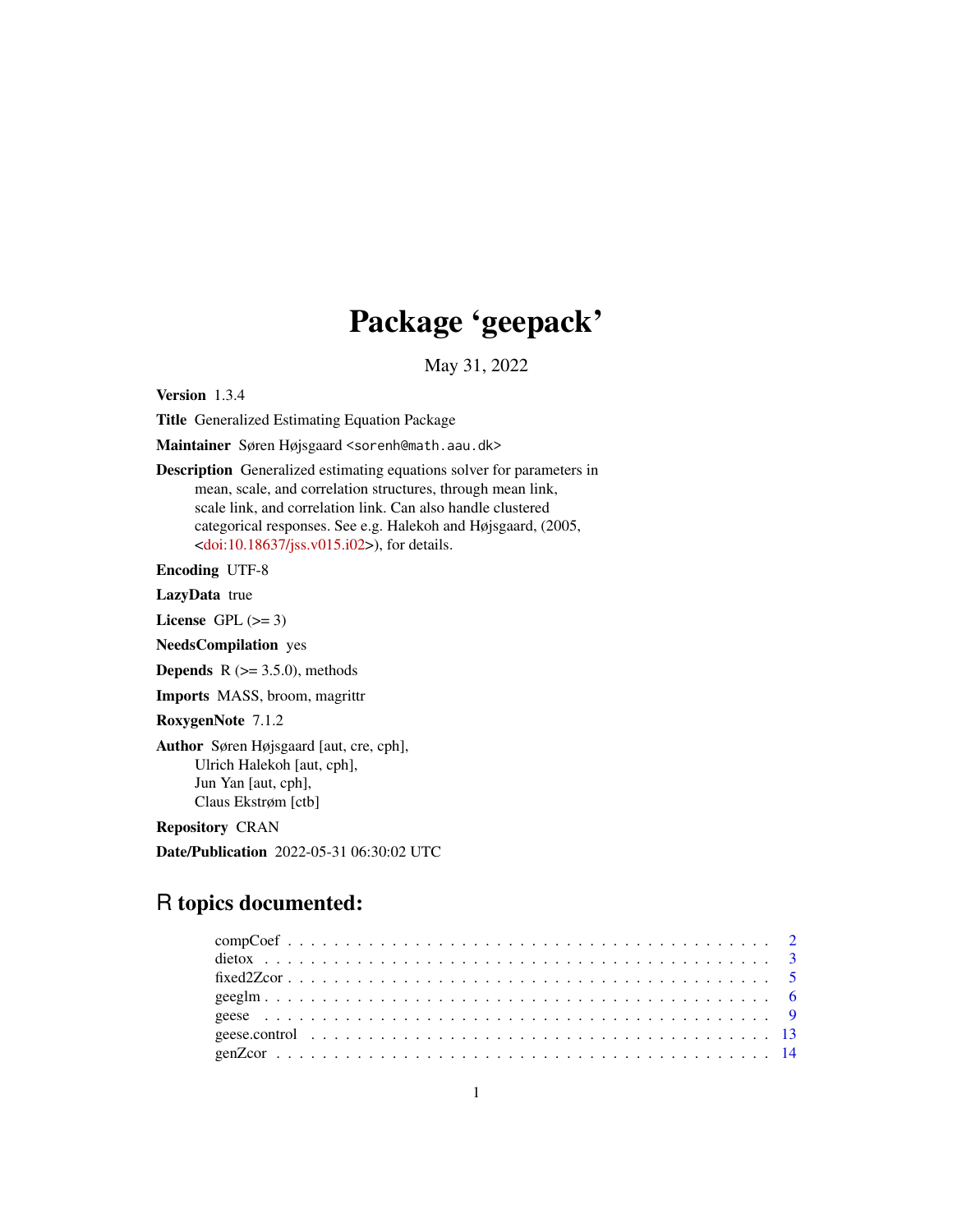## Package 'geepack'

May 31, 2022

<span id="page-0-0"></span>Version 1.3.4

Title Generalized Estimating Equation Package

Maintainer Søren Højsgaard <sorenh@math.aau.dk>

Description Generalized estimating equations solver for parameters in mean, scale, and correlation structures, through mean link, scale link, and correlation link. Can also handle clustered categorical responses. See e.g. Halekoh and Højsgaard, (2005,  $\langle \text{doi:10.18637/} \rangle$  iss.v015.i02>), for details.

Encoding UTF-8

LazyData true

License GPL  $(>= 3)$ 

NeedsCompilation yes

**Depends** R  $(>= 3.5.0)$ , methods

Imports MASS, broom, magrittr

RoxygenNote 7.1.2

Author Søren Højsgaard [aut, cre, cph], Ulrich Halekoh [aut, cph], Jun Yan [aut, cph], Claus Ekstrøm [ctb]

Repository CRAN

Date/Publication 2022-05-31 06:30:02 UTC

## R topics documented: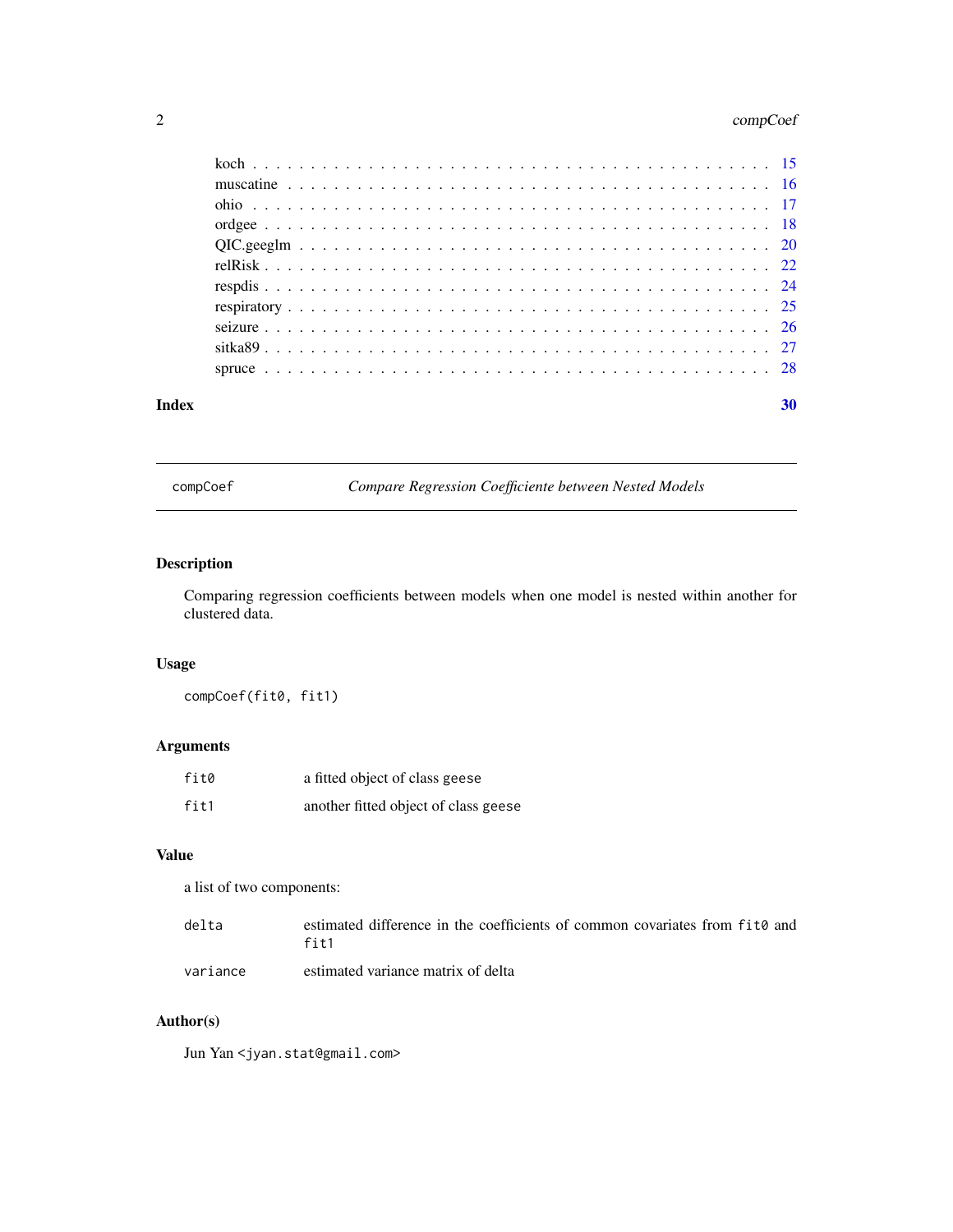## <span id="page-1-0"></span>2 compCoef

| Index | 30 |
|-------|----|
|       |    |
|       |    |
|       |    |
|       |    |
|       |    |
|       |    |
|       |    |
|       |    |
|       |    |
|       |    |
|       |    |

compCoef *Compare Regression Coefficiente between Nested Models*

## Description

Comparing regression coefficients between models when one model is nested within another for clustered data.

## Usage

compCoef(fit0, fit1)

## Arguments

| fit0 | a fitted object of class geese       |
|------|--------------------------------------|
| fit1 | another fitted object of class geese |

## Value

a list of two components:

| delta | estimated difference in the coefficients of common covariates from fit o and |
|-------|------------------------------------------------------------------------------|
|       | $f$ it $1$                                                                   |
|       |                                                                              |

variance estimated variance matrix of delta

## Author(s)

Jun Yan <jyan.stat@gmail.com>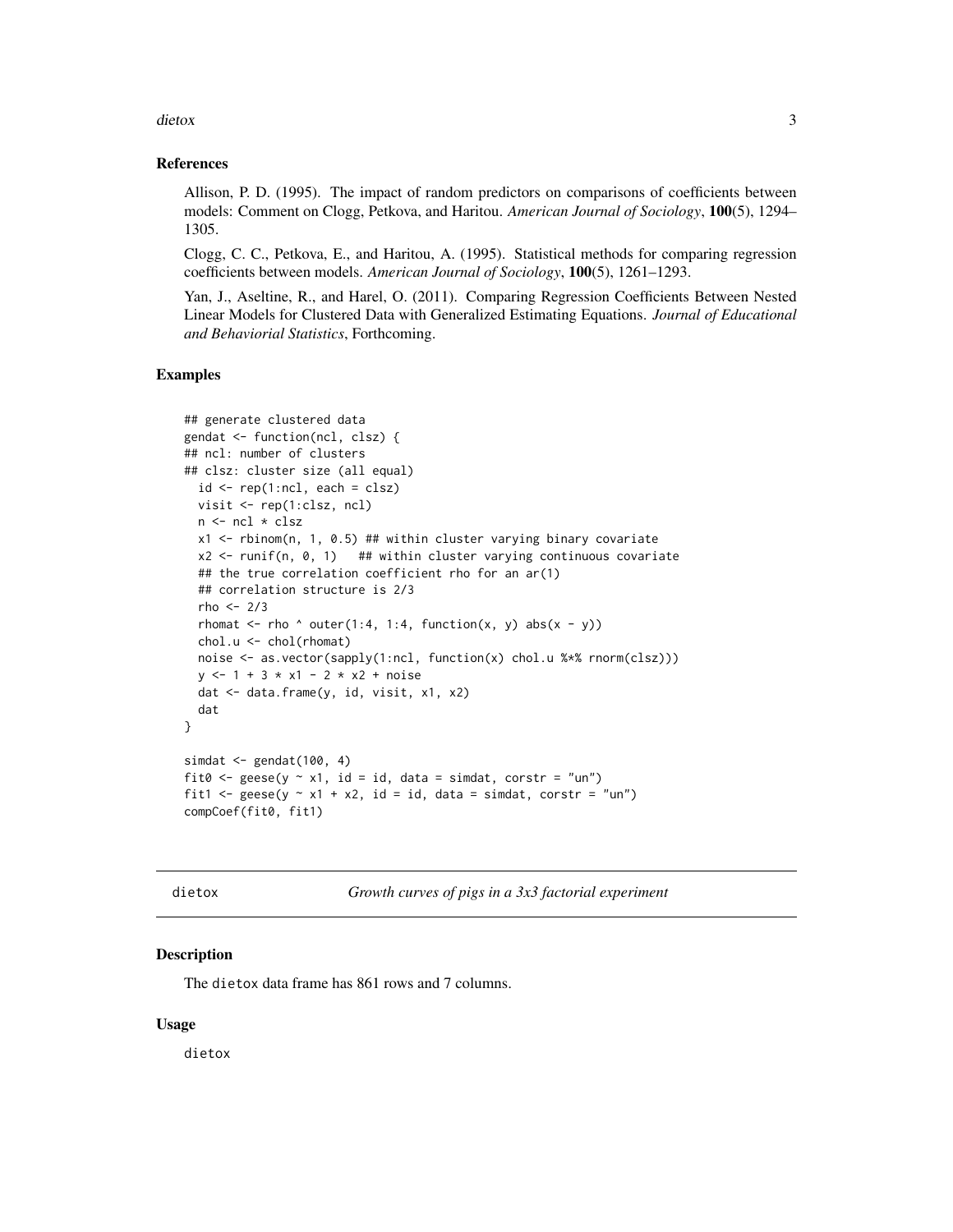<span id="page-2-0"></span>dietox 3

#### References

Allison, P. D. (1995). The impact of random predictors on comparisons of coefficients between models: Comment on Clogg, Petkova, and Haritou. *American Journal of Sociology*, 100(5), 1294– 1305.

Clogg, C. C., Petkova, E., and Haritou, A. (1995). Statistical methods for comparing regression coefficients between models. *American Journal of Sociology*, 100(5), 1261–1293.

Yan, J., Aseltine, R., and Harel, O. (2011). Comparing Regression Coefficients Between Nested Linear Models for Clustered Data with Generalized Estimating Equations. *Journal of Educational and Behaviorial Statistics*, Forthcoming.

#### Examples

```
## generate clustered data
gendat <- function(ncl, clsz) {
## ncl: number of clusters
## clsz: cluster size (all equal)
 id \leftarrow rep(1:ncl, each = clsz)visit <- rep(1:clsz, ncl)
 n <- ncl * clsz
 x1 <- rbinom(n, 1, 0.5) ## within cluster varying binary covariate
 x2 \le runif(n, 0, 1) ## within cluster varying continuous covariate
 ## the true correlation coefficient rho for an ar(1)
 ## correlation structure is 2/3
 rho <-2/3rhomat \leq rho \land outer(1:4, 1:4, function(x, y) abs(x - y))
 chol.u <- chol(rhomat)
 noise <- as.vector(sapply(1:ncl, function(x) chol.u %*% rnorm(clsz)))
 y \le -1 + 3 \times x1 - 2 \times x2 + \text{noise}dat <- data.frame(y, id, visit, x1, x2)
 dat
}
simdat <- gendat(100, 4)
fit0 <- geese(y \sim x1, id = id, data = simdat, corstr = "un")
fit1 <- geese(y \sim x1 + x2, id = id, data = simdat, corstr = "un")
compCoef(fit0, fit1)
```
dietox *Growth curves of pigs in a 3x3 factorial experiment*

#### Description

The dietox data frame has 861 rows and 7 columns.

#### Usage

dietox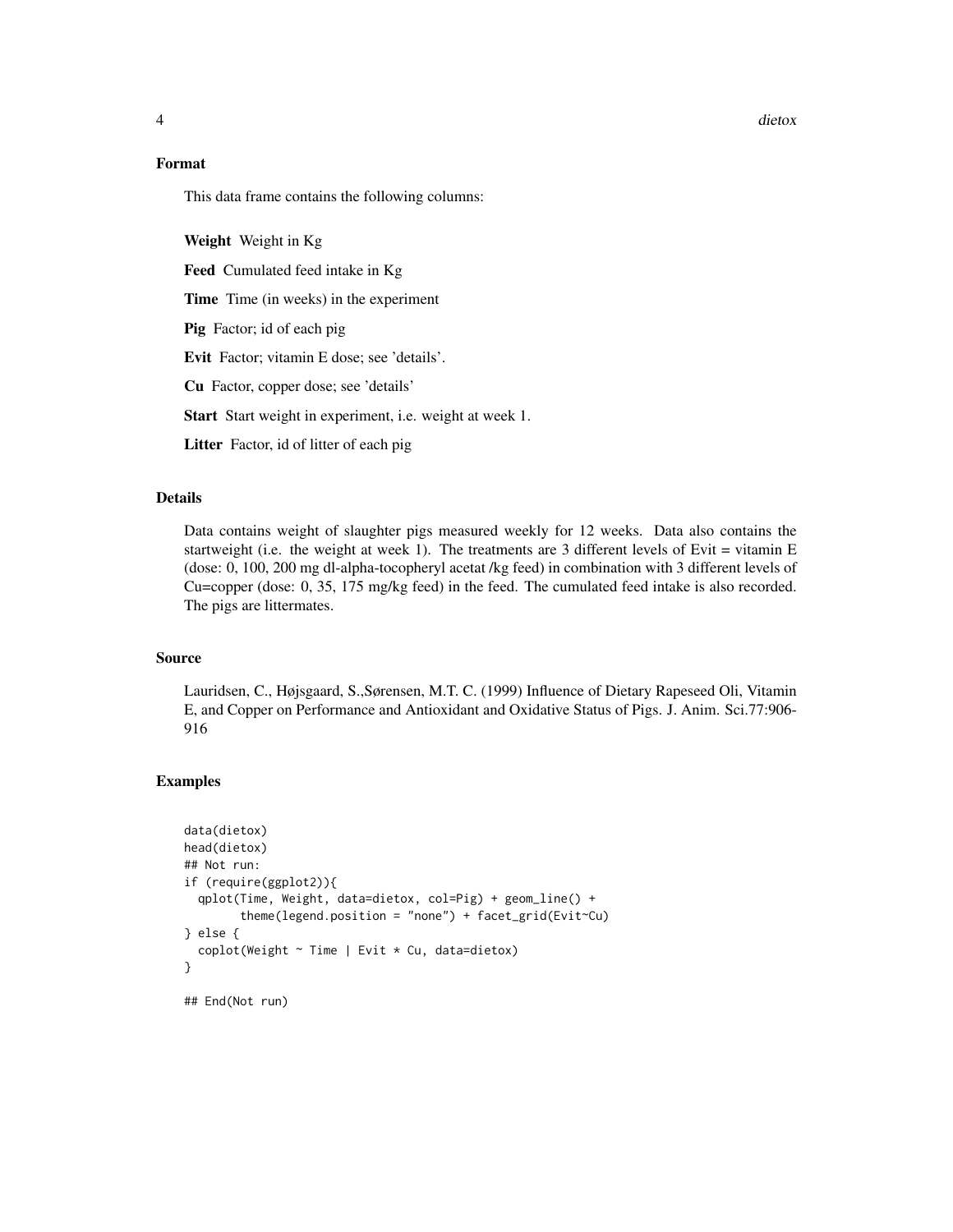4 dietox

#### Format

This data frame contains the following columns:

Weight Weight in Kg

Feed Cumulated feed intake in Kg

Time Time (in weeks) in the experiment

Pig Factor; id of each pig

Evit Factor; vitamin E dose; see 'details'.

Cu Factor, copper dose; see 'details'

Start Start weight in experiment, i.e. weight at week 1.

Litter Factor, id of litter of each pig

## Details

Data contains weight of slaughter pigs measured weekly for 12 weeks. Data also contains the startweight (i.e. the weight at week 1). The treatments are 3 different levels of Evit  $=$  vitamin E (dose: 0, 100, 200 mg dl-alpha-tocopheryl acetat /kg feed) in combination with 3 different levels of Cu=copper (dose: 0, 35, 175 mg/kg feed) in the feed. The cumulated feed intake is also recorded. The pigs are littermates.

#### Source

Lauridsen, C., Højsgaard, S.,Sørensen, M.T. C. (1999) Influence of Dietary Rapeseed Oli, Vitamin E, and Copper on Performance and Antioxidant and Oxidative Status of Pigs. J. Anim. Sci.77:906- 916

```
data(dietox)
head(dietox)
## Not run:
if (require(ggplot2)){
 qplot(Time, Weight, data=dietox, col=Pig) + geom_line() +
        theme(legend.position = "none") + facet_grid(Evit~Cu)
} else {
 coplot(Weight ~ Time | Evit * Cu, data=dietox)
}
## End(Not run)
```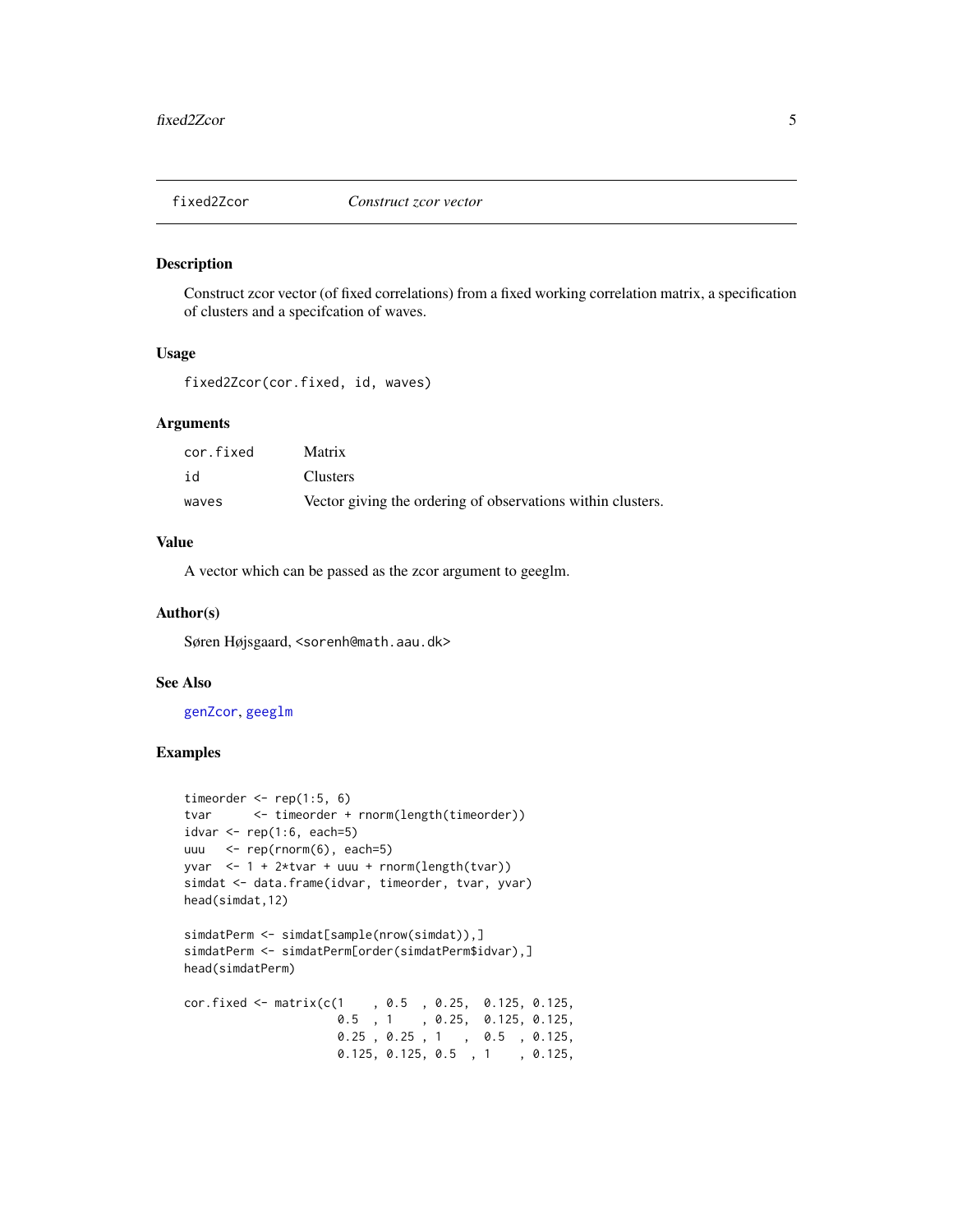<span id="page-4-1"></span><span id="page-4-0"></span>

## Description

Construct zcor vector (of fixed correlations) from a fixed working correlation matrix, a specification of clusters and a specifcation of waves.

#### Usage

fixed2Zcor(cor.fixed, id, waves)

#### Arguments

| cor.fixed | <b>Matrix</b>                                               |
|-----------|-------------------------------------------------------------|
| id        | <b>Clusters</b>                                             |
| waves     | Vector giving the ordering of observations within clusters. |

## Value

A vector which can be passed as the zcor argument to geeglm.

#### Author(s)

Søren Højsgaard, <sorenh@math.aau.dk>

## See Also

[genZcor](#page-13-1), [geeglm](#page-5-1)

```
timeorder \leq rep(1:5, 6)
tvar <- timeorder + rnorm(length(timeorder))
idvar \leq rep(1:6, each=5)
uuu \leq- rep(rnorm(6), each=5)
yvar <- 1 + 2*tvar + uuu + rnorm(length(tvar))
simdat <- data.frame(idvar, timeorder, tvar, yvar)
head(simdat,12)
simdatPerm <- simdat[sample(nrow(simdat)),]
simdatPerm <- simdatPerm[order(simdatPerm$idvar),]
head(simdatPerm)
cor.fixed <- matrix(c(1 , 0.5 , 0.25, 0.125, 0.125,
                     0.5 , 1 , 0.25, 0.125, 0.125,
                     0.25 , 0.25 , 1 , 0.5 , 0.125,
                     0.125, 0.125, 0.5 , 1 , 0.125,
```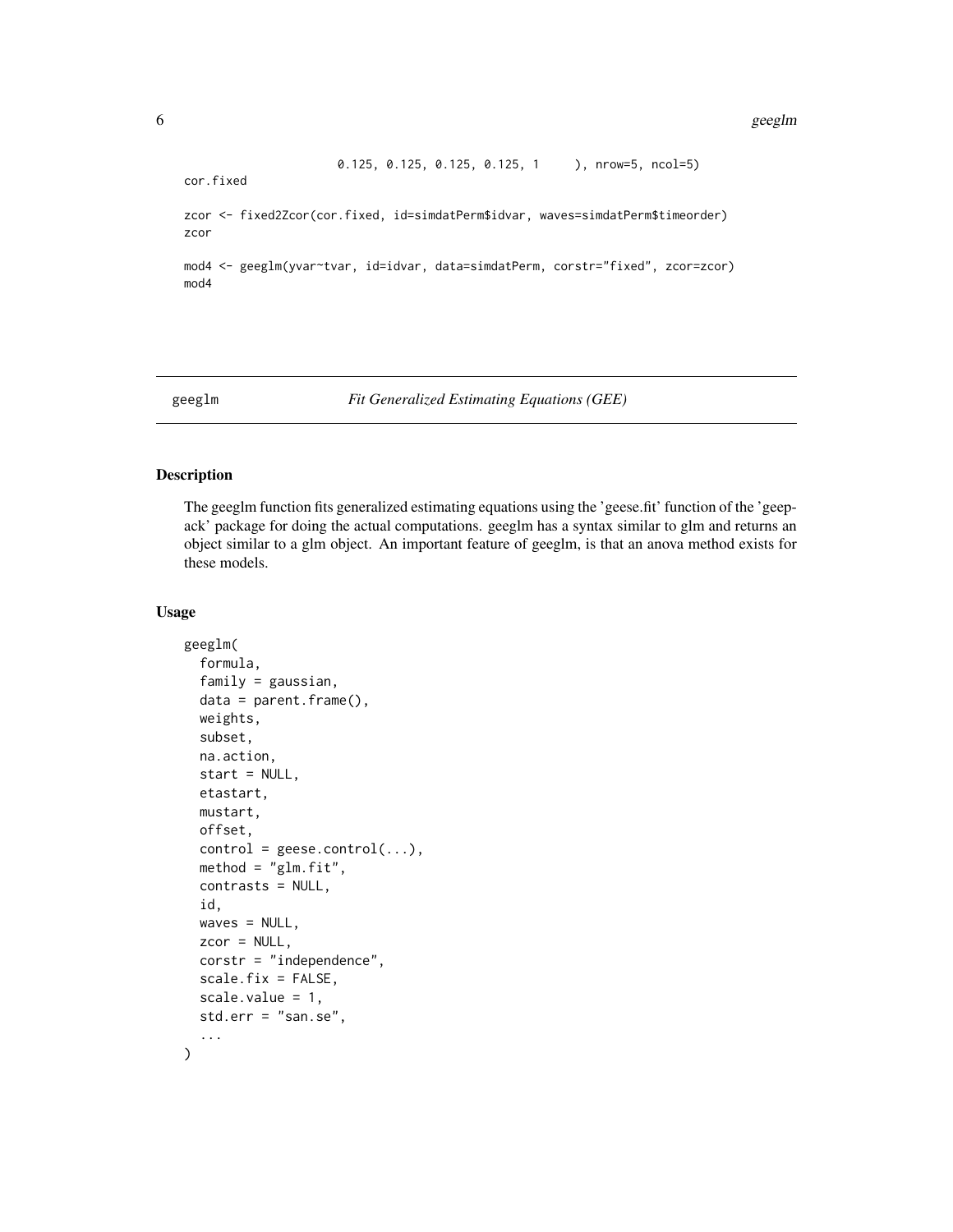0.125, 0.125, 0.125, 0.125, 1 ), nrow=5, ncol=5)

<span id="page-5-0"></span>cor.fixed

zcor <- fixed2Zcor(cor.fixed, id=simdatPerm\$idvar, waves=simdatPerm\$timeorder) zcor

mod4 <- geeglm(yvar~tvar, id=idvar, data=simdatPerm, corstr="fixed", zcor=zcor) mod4

<span id="page-5-1"></span>geeglm *Fit Generalized Estimating Equations (GEE)*

#### Description

The geeglm function fits generalized estimating equations using the 'geese.fit' function of the 'geepack' package for doing the actual computations. geeglm has a syntax similar to glm and returns an object similar to a glm object. An important feature of geeglm, is that an anova method exists for these models.

#### Usage

```
geeglm(
  formula,
  family = gaussian,
  data = parent.frame(),
  weights,
  subset,
  na.action,
  start = NULL,etastart,
  mustart,
  offset,
  control = geese.contrib(...),method = "glm.fit",contrasts = NULL,
  id,
  waves = NULL,zcor = NULL,
  corstr = "independence",
  scale.fix = FALSE,
  scale.value = 1,
  std.err = "san.se",
  ...
)
```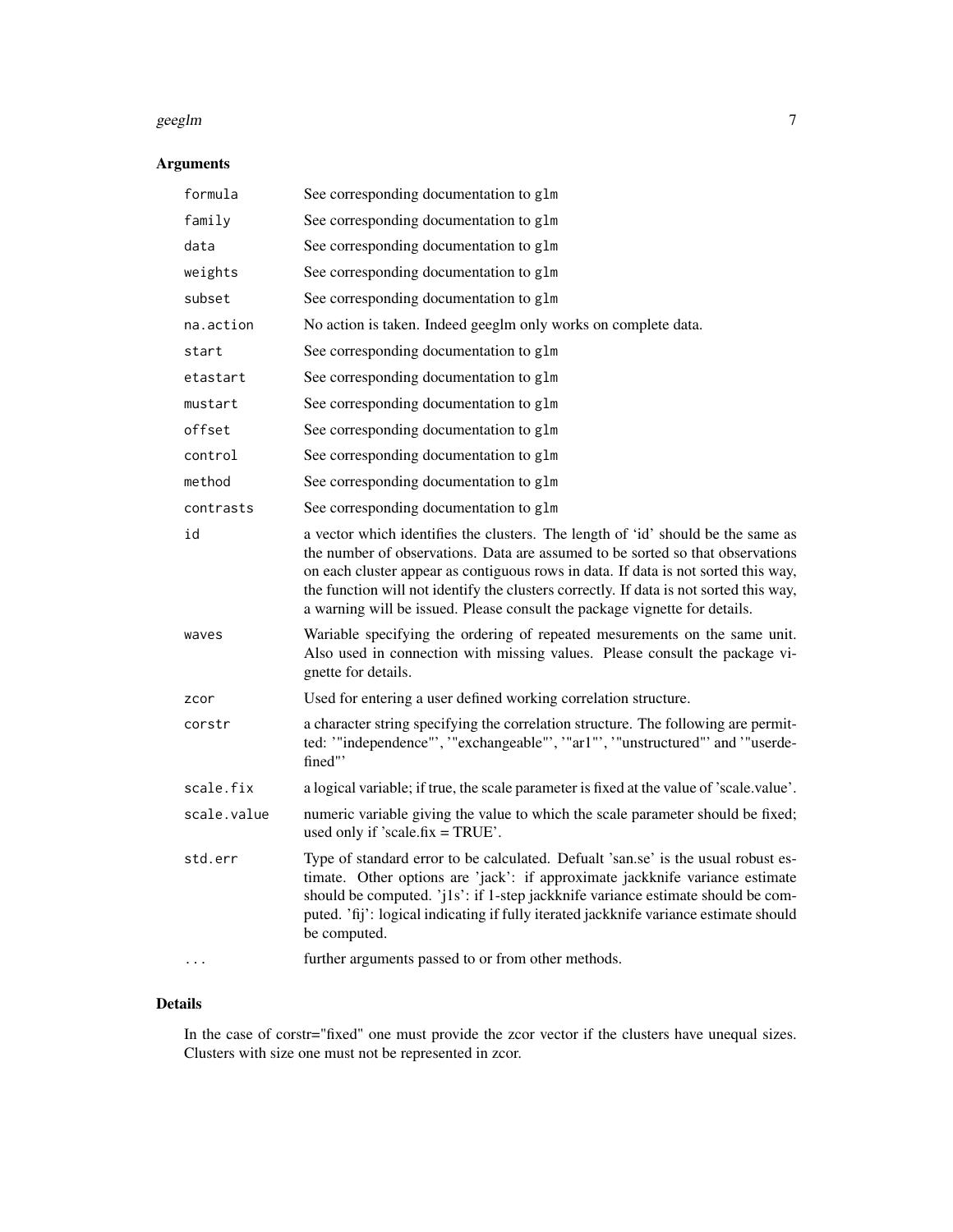#### geeglm 30 million and 200 million and 200 million and 200 million and 200 million and 200 million and 200 million

## Arguments

| formula     | See corresponding documentation to glm                                                                                                                                                                                                                                                                                                                                                                                           |
|-------------|----------------------------------------------------------------------------------------------------------------------------------------------------------------------------------------------------------------------------------------------------------------------------------------------------------------------------------------------------------------------------------------------------------------------------------|
| family      | See corresponding documentation to glm                                                                                                                                                                                                                                                                                                                                                                                           |
| data        | See corresponding documentation to glm                                                                                                                                                                                                                                                                                                                                                                                           |
| weights     | See corresponding documentation to glm                                                                                                                                                                                                                                                                                                                                                                                           |
| subset      | See corresponding documentation to glm                                                                                                                                                                                                                                                                                                                                                                                           |
| na.action   | No action is taken. Indeed geeglm only works on complete data.                                                                                                                                                                                                                                                                                                                                                                   |
| start       | See corresponding documentation to glm                                                                                                                                                                                                                                                                                                                                                                                           |
| etastart    | See corresponding documentation to glm                                                                                                                                                                                                                                                                                                                                                                                           |
| mustart     | See corresponding documentation to glm                                                                                                                                                                                                                                                                                                                                                                                           |
| offset      | See corresponding documentation to glm                                                                                                                                                                                                                                                                                                                                                                                           |
| control     | See corresponding documentation to glm                                                                                                                                                                                                                                                                                                                                                                                           |
| method      | See corresponding documentation to glm                                                                                                                                                                                                                                                                                                                                                                                           |
| contrasts   | See corresponding documentation to glm                                                                                                                                                                                                                                                                                                                                                                                           |
| id          | a vector which identifies the clusters. The length of 'id' should be the same as<br>the number of observations. Data are assumed to be sorted so that observations<br>on each cluster appear as contiguous rows in data. If data is not sorted this way,<br>the function will not identify the clusters correctly. If data is not sorted this way,<br>a warning will be issued. Please consult the package vignette for details. |
| waves       | Wariable specifying the ordering of repeated mesurements on the same unit.<br>Also used in connection with missing values. Please consult the package vi-<br>gnette for details.                                                                                                                                                                                                                                                 |
| zcor        | Used for entering a user defined working correlation structure.                                                                                                                                                                                                                                                                                                                                                                  |
| corstr      | a character string specifying the correlation structure. The following are permit-<br>ted: "independence"', ""exchangeable"', ""ar1"', "unstructured"' and '"userde-<br>fined"                                                                                                                                                                                                                                                   |
| scale.fix   | a logical variable; if true, the scale parameter is fixed at the value of 'scale.value'.                                                                                                                                                                                                                                                                                                                                         |
| scale.value | numeric variable giving the value to which the scale parameter should be fixed;<br>used only if 'scale.fix $=$ TRUE'.                                                                                                                                                                                                                                                                                                            |
| std.err     | Type of standard error to be calculated. Defualt 'san.se' is the usual robust es-<br>timate. Other options are 'jack': if approximate jackknife variance estimate<br>should be computed. 'j1s': if 1-step jackknife variance estimate should be com-<br>puted. 'fij': logical indicating if fully iterated jackknife variance estimate should<br>be computed.                                                                    |
|             | further arguments passed to or from other methods.                                                                                                                                                                                                                                                                                                                                                                               |

## Details

In the case of corstr="fixed" one must provide the zcor vector if the clusters have unequal sizes. Clusters with size one must not be represented in zcor.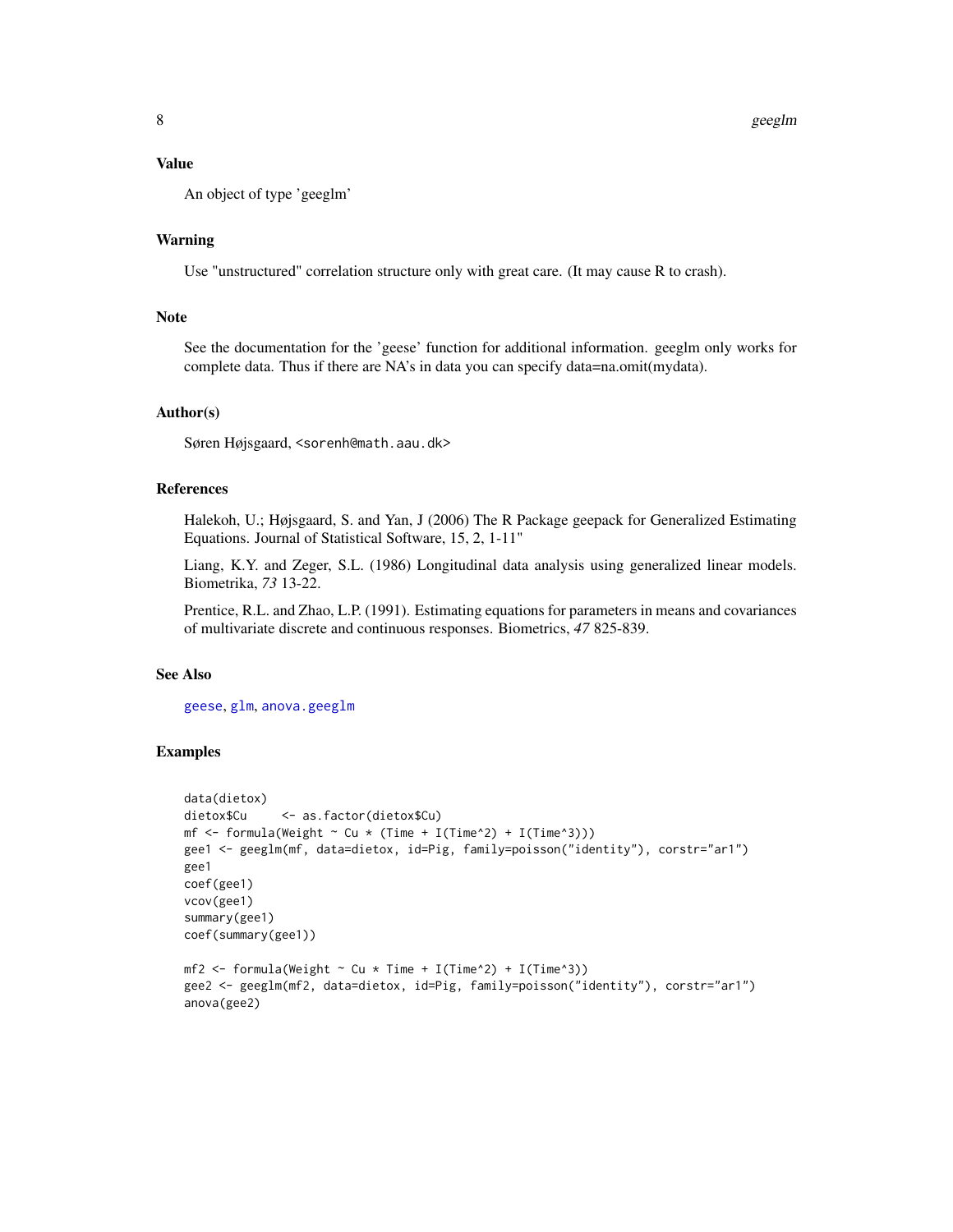## <span id="page-7-0"></span>Value

An object of type 'geeglm'

## Warning

Use "unstructured" correlation structure only with great care. (It may cause R to crash).

## Note

See the documentation for the 'geese' function for additional information. geeglm only works for complete data. Thus if there are NA's in data you can specify data=na.omit(mydata).

## Author(s)

Søren Højsgaard, <sorenh@math.aau.dk>

## References

Halekoh, U.; Højsgaard, S. and Yan, J (2006) The R Package geepack for Generalized Estimating Equations. Journal of Statistical Software, 15, 2, 1-11"

Liang, K.Y. and Zeger, S.L. (1986) Longitudinal data analysis using generalized linear models. Biometrika, *73* 13-22.

Prentice, R.L. and Zhao, L.P. (1991). Estimating equations for parameters in means and covariances of multivariate discrete and continuous responses. Biometrics, *47* 825-839.

## See Also

[geese](#page-8-1), [glm](#page-0-0), [anova.geeglm](#page-0-0)

```
data(dietox)
dietox$Cu <- as.factor(dietox$Cu)
mf \le formula(Weight \sim Cu \star (Time + I(Time^2) + I(Time^3)))
gee1 <- geeglm(mf, data=dietox, id=Pig, family=poisson("identity"), corstr="ar1")
gee1
coef(gee1)
vcov(gee1)
summary(gee1)
coef(summary(gee1))
mf2 \leq fromula(Weight \sim Cu \times Time + I(Time^2) + I(Time^3))gee2 <- geeglm(mf2, data=dietox, id=Pig, family=poisson("identity"), corstr="ar1")
anova(gee2)
```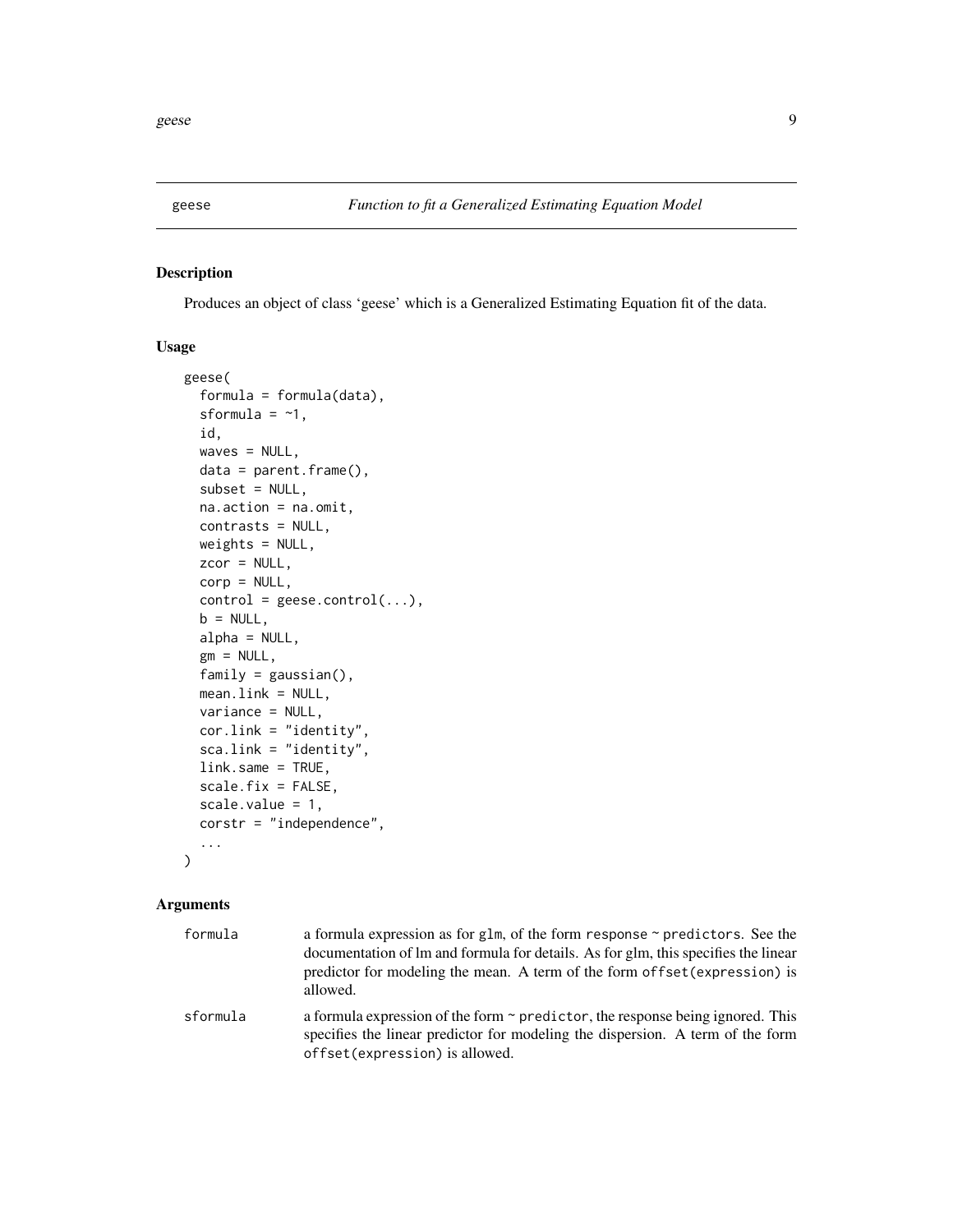<span id="page-8-1"></span><span id="page-8-0"></span>

## Description

Produces an object of class 'geese' which is a Generalized Estimating Equation fit of the data.

#### Usage

```
geese(
  formula = formula(data),
  sformula = -1,
  id,
  waves = NULL,
  data = parent.frame(),
  subset = NULL,na.action = na.omit,
  contrasts = NULL,
 weights = NULL,
  zcor = NULL,
  corp = NULL,control = geese.contrib(...),b = NULL,alpha = NULL,
  gm = NULL,family = gaussian(),
 mean.link = NULL,
  variance = NULL,
  cor.link = "identity",
  sca.link = "identity",
  link.same = TRUE,
  scale.fix = FALSE,
  scale.value = 1,
  corstr = "independence",
  ...
```
 $\mathcal{L}$ 

#### Arguments

| formula  | a formula expression as for glm, of the form response $\sim$ predictors. See the<br>documentation of lm and formula for details. As for glm, this specifies the linear<br>predictor for modeling the mean. A term of the form of fset (expression) is<br>allowed. |
|----------|-------------------------------------------------------------------------------------------------------------------------------------------------------------------------------------------------------------------------------------------------------------------|
| sformula | a formula expression of the form $\sim$ predictor, the response being ignored. This<br>specifies the linear predictor for modeling the dispersion. A term of the form<br>offset (expression) is allowed.                                                          |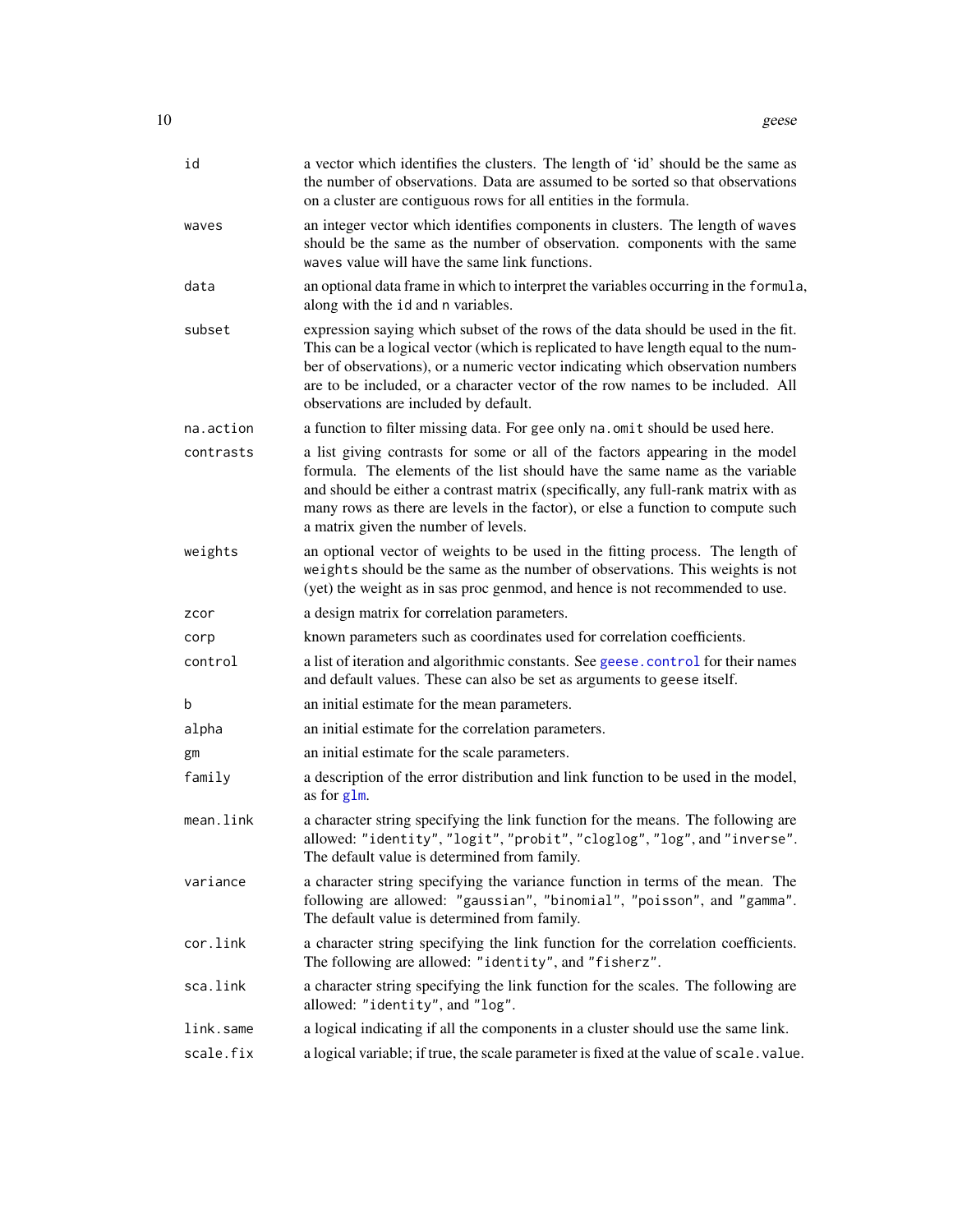<span id="page-9-0"></span>

| id        | a vector which identifies the clusters. The length of 'id' should be the same as<br>the number of observations. Data are assumed to be sorted so that observations<br>on a cluster are contiguous rows for all entities in the formula.                                                                                                                                              |
|-----------|--------------------------------------------------------------------------------------------------------------------------------------------------------------------------------------------------------------------------------------------------------------------------------------------------------------------------------------------------------------------------------------|
| waves     | an integer vector which identifies components in clusters. The length of waves<br>should be the same as the number of observation. components with the same<br>waves value will have the same link functions.                                                                                                                                                                        |
| data      | an optional data frame in which to interpret the variables occurring in the formula,<br>along with the id and n variables.                                                                                                                                                                                                                                                           |
| subset    | expression saying which subset of the rows of the data should be used in the fit.<br>This can be a logical vector (which is replicated to have length equal to the num-<br>ber of observations), or a numeric vector indicating which observation numbers<br>are to be included, or a character vector of the row names to be included. All<br>observations are included by default. |
| na.action | a function to filter missing data. For gee only na. omit should be used here.                                                                                                                                                                                                                                                                                                        |
| contrasts | a list giving contrasts for some or all of the factors appearing in the model<br>formula. The elements of the list should have the same name as the variable<br>and should be either a contrast matrix (specifically, any full-rank matrix with as<br>many rows as there are levels in the factor), or else a function to compute such<br>a matrix given the number of levels.       |
| weights   | an optional vector of weights to be used in the fitting process. The length of<br>weights should be the same as the number of observations. This weights is not<br>(yet) the weight as in sas proc genmod, and hence is not recommended to use.                                                                                                                                      |
| zcor      | a design matrix for correlation parameters.                                                                                                                                                                                                                                                                                                                                          |
| corp      | known parameters such as coordinates used for correlation coefficients.                                                                                                                                                                                                                                                                                                              |
| control   | a list of iteration and algorithmic constants. See geese.control for their names<br>and default values. These can also be set as arguments to geese itself.                                                                                                                                                                                                                          |
| b         | an initial estimate for the mean parameters.                                                                                                                                                                                                                                                                                                                                         |
| alpha     | an initial estimate for the correlation parameters.                                                                                                                                                                                                                                                                                                                                  |
| gm        | an initial estimate for the scale parameters.                                                                                                                                                                                                                                                                                                                                        |
| family    | a description of the error distribution and link function to be used in the model,<br>as for glm.                                                                                                                                                                                                                                                                                    |
| mean.link | a character string specifying the link function for the means. The following are<br>allowed: "identity", "logit", "probit", "cloglog", "log", and "inverse".<br>The default value is determined from family.                                                                                                                                                                         |
| variance  | a character string specifying the variance function in terms of the mean. The<br>following are allowed: "gaussian", "binomial", "poisson", and "gamma".<br>The default value is determined from family.                                                                                                                                                                              |
| cor.link  | a character string specifying the link function for the correlation coefficients.<br>The following are allowed: "identity", and "fisherz".                                                                                                                                                                                                                                           |
| sca.link  | a character string specifying the link function for the scales. The following are<br>allowed: "identity", and "log".                                                                                                                                                                                                                                                                 |
| link.same | a logical indicating if all the components in a cluster should use the same link.                                                                                                                                                                                                                                                                                                    |
| scale.fix | a logical variable; if true, the scale parameter is fixed at the value of scale. value.                                                                                                                                                                                                                                                                                              |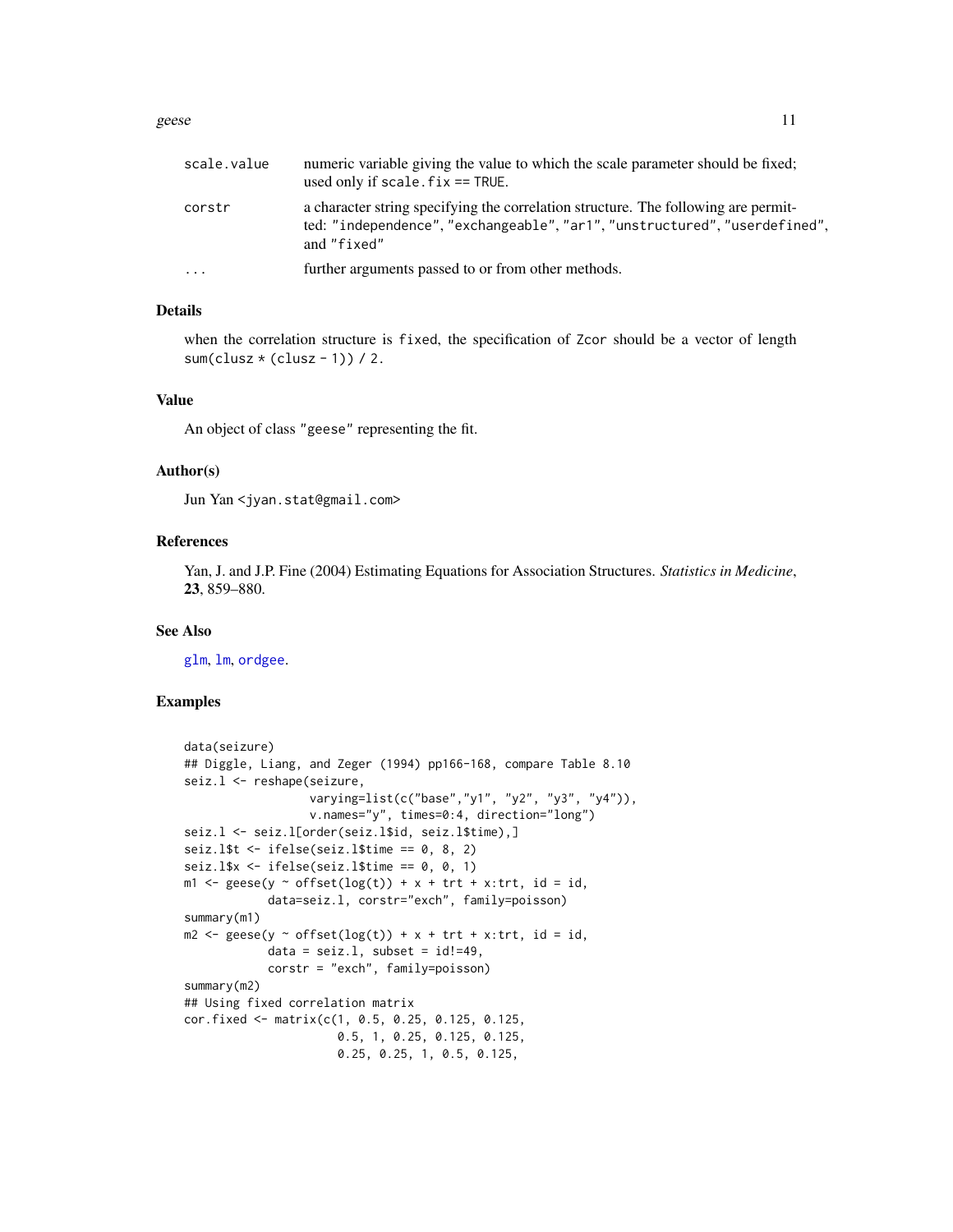#### <span id="page-10-0"></span>geese and the set of the set of the set of the set of the set of the set of the set of the set of the set of the set of the set of the set of the set of the set of the set of the set of the set of the set of the set of the

| scale.value | numeric variable giving the value to which the scale parameter should be fixed;<br>used only if scale. $fix == TRUE$ .                                                          |
|-------------|---------------------------------------------------------------------------------------------------------------------------------------------------------------------------------|
| corstr      | a character string specifying the correlation structure. The following are permit-<br>ted: "independence", "exchangeable", "ar1", "unstructured", "userdefined",<br>and "fixed" |
| $\cdots$    | further arguments passed to or from other methods.                                                                                                                              |

## Details

when the correlation structure is fixed, the specification of Zcor should be a vector of length sum(clusz  $*(\text{clusz} - 1))$  / 2.

#### Value

An object of class "geese" representing the fit.

#### Author(s)

Jun Yan <jyan.stat@gmail.com>

#### References

Yan, J. and J.P. Fine (2004) Estimating Equations for Association Structures. *Statistics in Medicine*, 23, 859–880.

#### See Also

[glm](#page-0-0), [lm](#page-0-0), [ordgee](#page-17-1).

```
data(seizure)
## Diggle, Liang, and Zeger (1994) pp166-168, compare Table 8.10
seiz.l <- reshape(seizure,
                  varying=list(c("base","y1", "y2", "y3", "y4")),
                  v.names="y", times=0:4, direction="long")
seiz.l <- seiz.l[order(seiz.l$id, seiz.l$time),]
seiz.l$t \le ifelse(seiz.l$time == 0, 8, 2)
seiz.l$x <- ifelse(seiz.l$time == 0, 0, 1)
m1 <- geese(y \sim offset(log(t)) + x + trt + x:trt, id = id,
            data=seiz.l, corstr="exch", family=poisson)
summary(m1)
m2 \leq geese(y \sim offset(log(t)) + x + trt + x:trt, id = id,
            data = seiz.1, subset = id!=49,
            corstr = "exch", family=poisson)
summary(m2)
## Using fixed correlation matrix
cor.fixed <- matrix(c(1, 0.5, 0.25, 0.125, 0.125,
                      0.5, 1, 0.25, 0.125, 0.125,
                      0.25, 0.25, 1, 0.5, 0.125,
```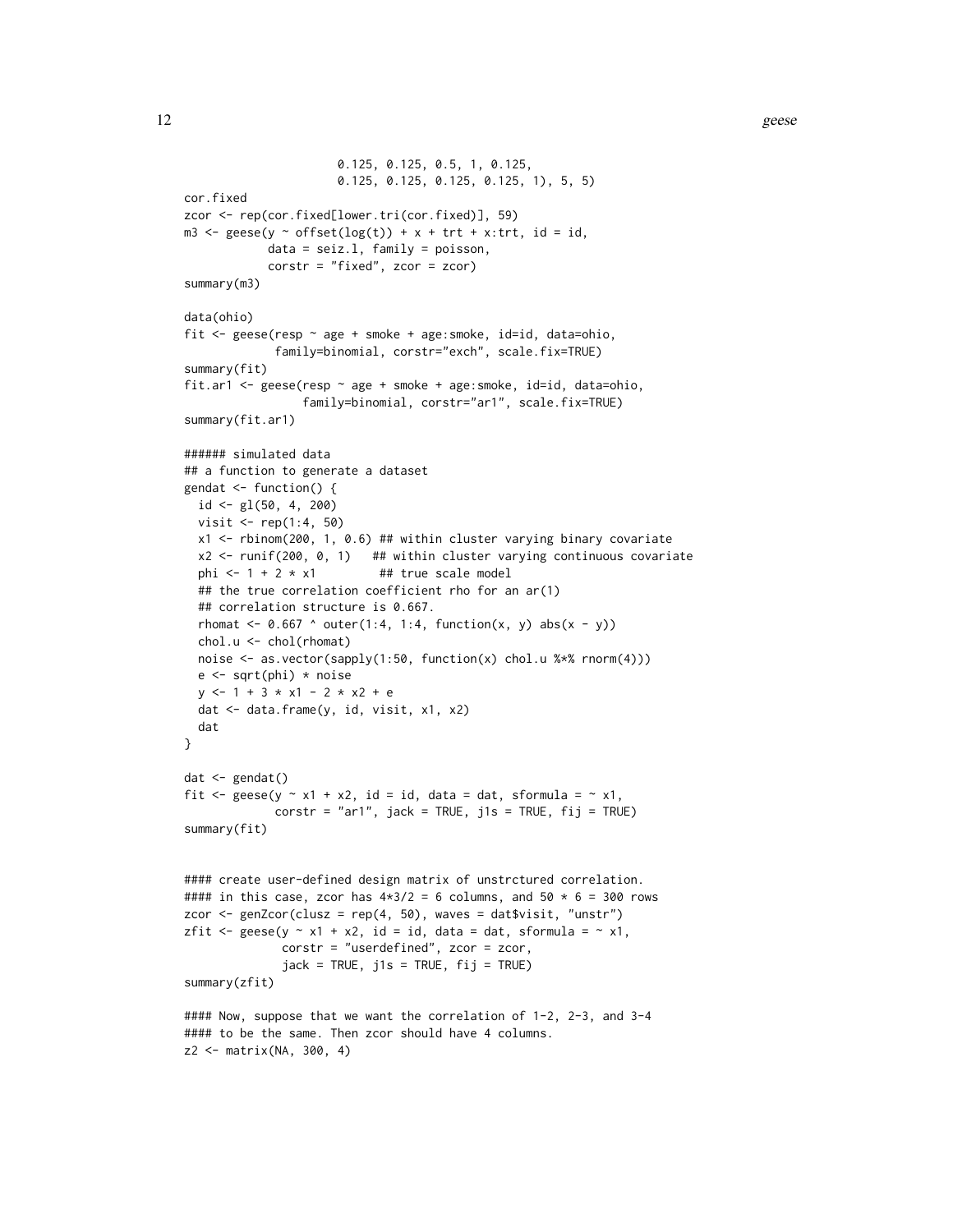```
0.125, 0.125, 0.5, 1, 0.125,
                       0.125, 0.125, 0.125, 0.125, 1), 5, 5)
cor.fixed
zcor <- rep(cor.fixed[lower.tri(cor.fixed)], 59)
m3 \leq geese(y \sim offset(log(t)) + x + trt + x:trt, id = id,
            data = seiz.l, family = poisson,
            corstr = "fixed", zcor = zcor)
summary(m3)
data(ohio)
fit <- geese(resp ~ age + smoke + age:smoke, id=id, data=ohio,
              family=binomial, corstr="exch", scale.fix=TRUE)
summary(fit)
fit.ar1 <- geese(resp ~ age + smoke + age:smoke, id=id, data=ohio,
                  family=binomial, corstr="ar1", scale.fix=TRUE)
summary(fit.ar1)
###### simulated data
## a function to generate a dataset
gendat \leq function() {
  id \leq gl(50, 4, 200)visit < - rep(1:4, 50)x1 <- rbinom(200, 1, 0.6) ## within cluster varying binary covariate
  x2 \le runif(200, 0, 1) ## within cluster varying continuous covariate
  phi \leftarrow 1 + 2 \star x1 ## true scale model
  ## the true correlation coefficient rho for an ar(1)
  ## correlation structure is 0.667.
  rhomat \leq 0.667 ^ outer(1:4, 1:4, function(x, y) abs(x - y))
  chol.u <- chol(rhomat)
  noise <- as.vector(sapply(1:50, function(x) chol.u %*% rnorm(4)))
  e \leftarrow sqrt(\text{phi}) * noisey \le -1 + 3 \times x1 - 2 \times x2 + edat <- data.frame(y, id, visit, x1, x2)
  dat
}
dat <- gendat()
fit \leq geese(y \sim x1 + x2, id = id, data = dat, sformula = \sim x1,
              \text{corr} = \text{"ar1"}, \text{jack} = \text{TRUE}, \text{jls} = \text{TRUE}, \text{fij} = \text{TRUE})
summary(fit)
#### create user-defined design matrix of unstrctured correlation.
#### in this case, zcor has 4*3/2 = 6 columns, and 50 * 6 = 300 rows
zcor \leq genZcor(clusz = rep(4, 50), waves = dat$visit, "unstr")
zfit \leq geese(y \sim x1 + x2, id = id, data = dat, sformula = \sim x1,
               corstr = "userdefined", zcor = zcor,
               jack = TRUE, j1s = TRUE, fij = TRUE)summary(zfit)
#### Now, suppose that we want the correlation of 1-2, 2-3, and 3-4
#### to be the same. Then zcor should have 4 columns.
z2 <- matrix(NA, 300, 4)
```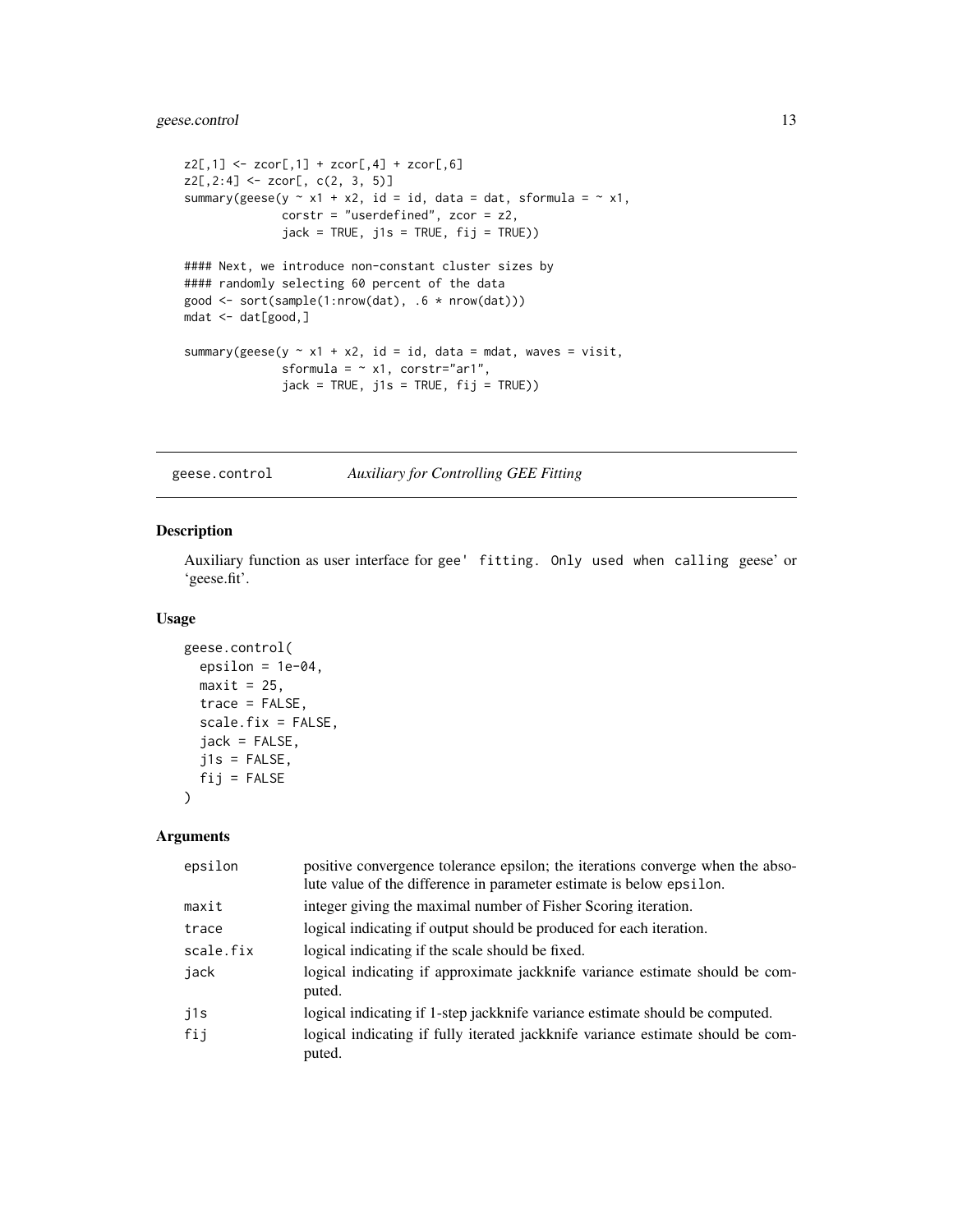```
z2[, 1] <- zcor[, 1] + zcor[, 4] + zcor[, 6]z2[,2:4] <- zcor[, c(2, 3, 5)]
summary(geese(y \sim x1 + x2, id = id, data = dat, sformula = \sim x1,
              corstr = "userdefined", zcor = z2,
              jack = TRUE, j1s = TRUE, fij = TRUE))
#### Next, we introduce non-constant cluster sizes by
#### randomly selecting 60 percent of the data
good <- sort(sample(1:nrow(dat), .6 * nrow(dat)))
mdat <- dat[good,]
summary(geese(y \sim x1 + x2, id = id, data = mdat, waves = visit,
              sformula = \sim x1, corstr="ar1",
              jack = TRUE, j1s = TRUE, fij = TRUE))
```
<span id="page-12-1"></span>geese.control *Auxiliary for Controlling GEE Fitting*

#### Description

Auxiliary function as user interface for gee' fitting. Only used when calling geese' or 'geese.fit'.

#### Usage

```
geese.control(
 epsilon = 1e-04,
 maxit = 25,
 trace = FALSE,
  scale.fix = FALSE,
  jack = FALSE,j1s = FALSE,
 fij = FALSE\lambda
```
#### Arguments

| epsilon   | positive convergence tolerance epsilon; the iterations converge when the abso-<br>lute value of the difference in parameter estimate is below epsilon. |
|-----------|--------------------------------------------------------------------------------------------------------------------------------------------------------|
| maxit     | integer giving the maximal number of Fisher Scoring iteration.                                                                                         |
| trace     | logical indicating if output should be produced for each iteration.                                                                                    |
| scale.fix | logical indicating if the scale should be fixed.                                                                                                       |
| jack      | logical indicating if approximate jackknife variance estimate should be com-<br>puted.                                                                 |
| j1s       | logical indicating if 1-step jackknife variance estimate should be computed.                                                                           |
| fij       | logical indicating if fully iterated jackknife variance estimate should be com-<br>puted.                                                              |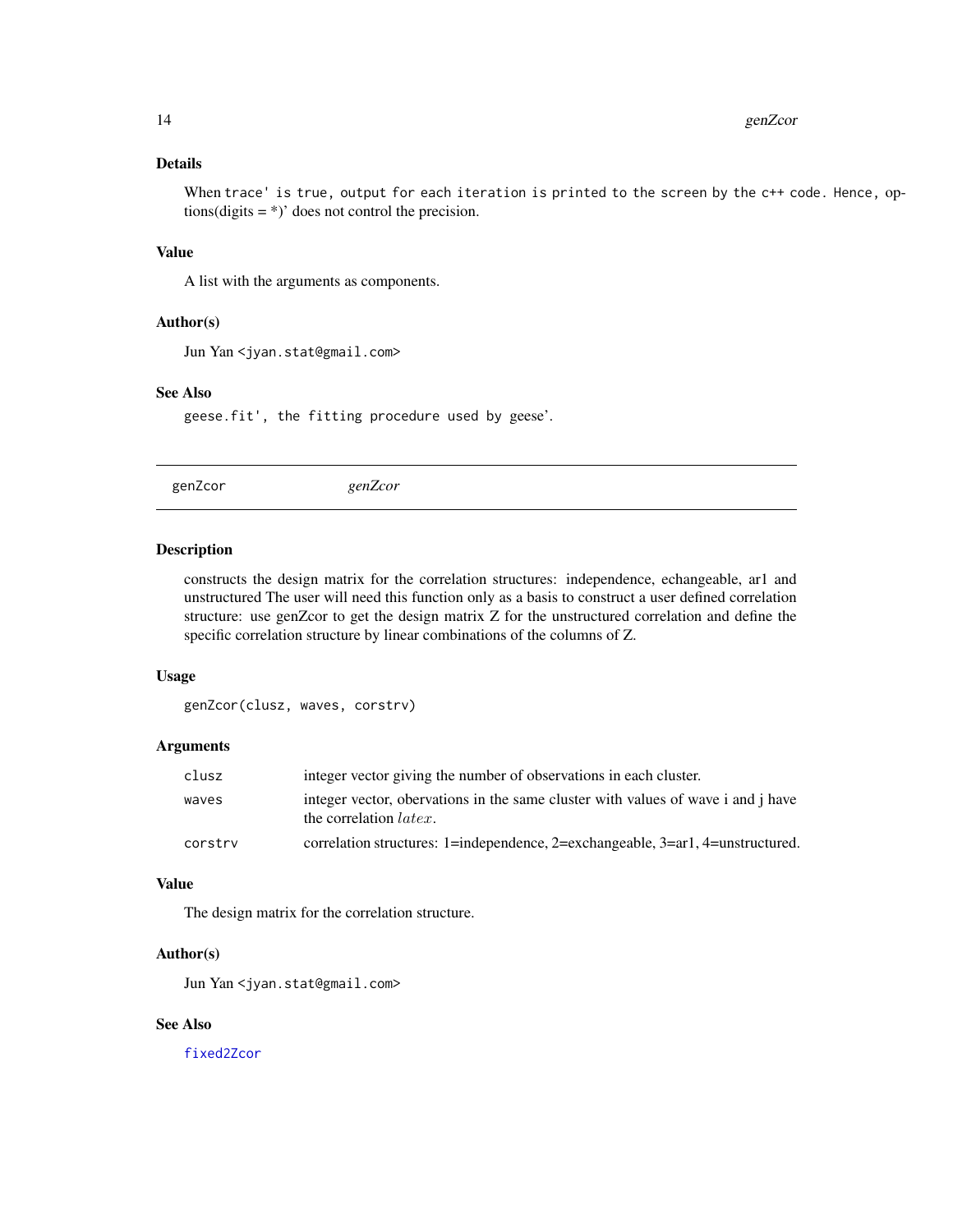## <span id="page-13-0"></span>Details

When trace' is true, output for each iteration is printed to the screen by the c++ code. Hence, options(digits  $=$  \*)' does not control the precision.

## Value

A list with the arguments as components.

#### Author(s)

Jun Yan <jyan.stat@gmail.com>

#### See Also

geese.fit', the fitting procedure used by geese'.

<span id="page-13-1"></span>genZcor *genZcor*

#### Description

constructs the design matrix for the correlation structures: independence, echangeable, ar1 and unstructured The user will need this function only as a basis to construct a user defined correlation structure: use genZcor to get the design matrix Z for the unstructured correlation and define the specific correlation structure by linear combinations of the columns of Z.

#### Usage

genZcor(clusz, waves, corstrv)

#### Arguments

| clusz   | integer vector giving the number of observations in each cluster.                                                  |
|---------|--------------------------------------------------------------------------------------------------------------------|
| waves   | integer vector, obervations in the same cluster with values of wave i and j have<br>the correlation <i>latex</i> . |
| corstry | correlation structures: 1=independence, 2=exchangeable, 3=ar1, 4=unstructured.                                     |

#### Value

The design matrix for the correlation structure.

#### Author(s)

Jun Yan <jyan.stat@gmail.com>

## See Also

[fixed2Zcor](#page-4-1)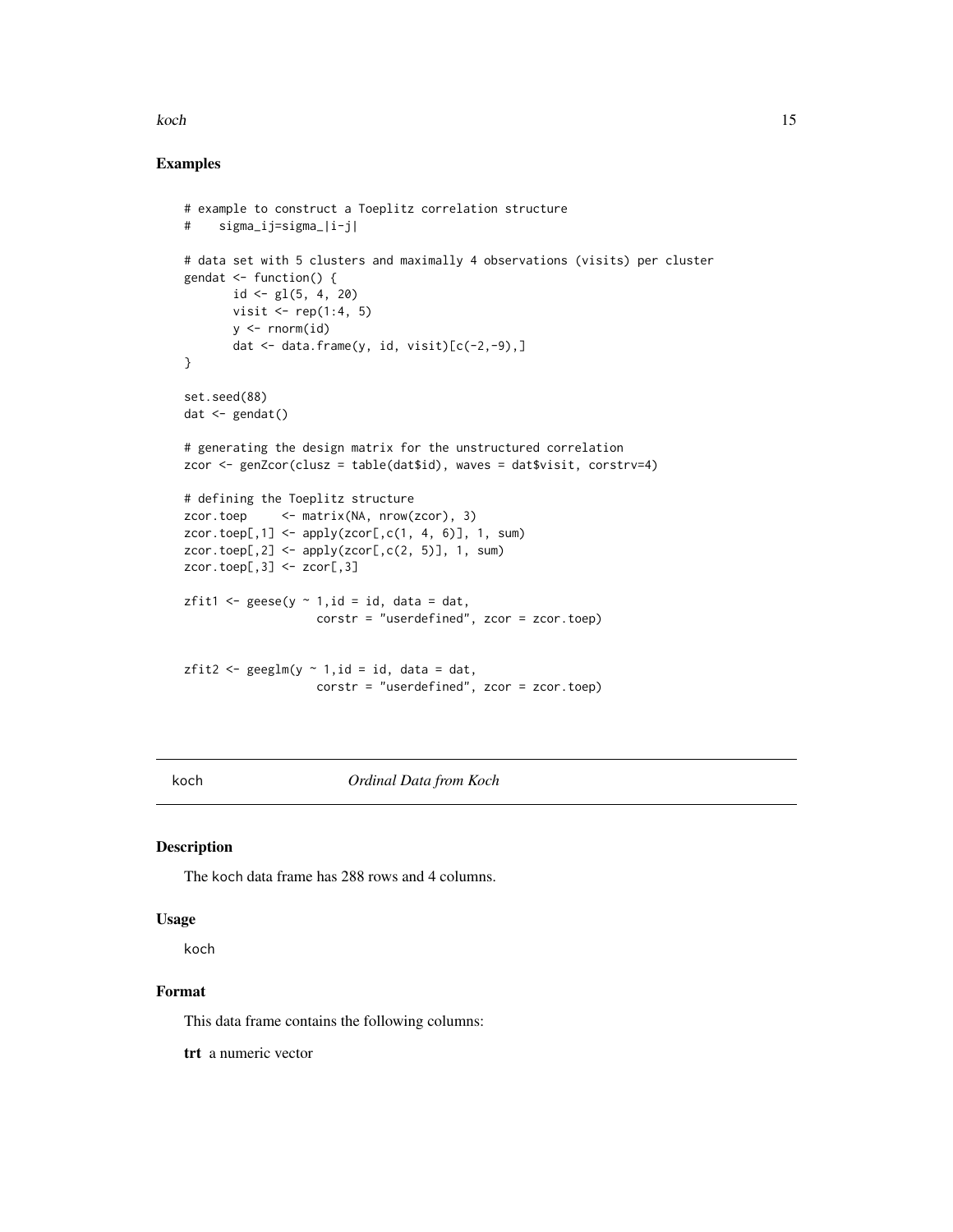#### <span id="page-14-0"></span>koch a bronzh an hann a bronzh an hann an hann an hann an hann an hann an hann an hann an hann an hann an hann

## Examples

```
# example to construct a Toeplitz correlation structure
# sigma_ij=sigma_|i-j|
# data set with 5 clusters and maximally 4 observations (visits) per cluster
gendat \leq function() {
       id \leftarrow gl(5, 4, 20)visit \le rep(1:4, 5)
       y \leftarrow \text{norm}(id)dat \leq data.frame(y, id, visit)[c(-2,-9),]
}
set.seed(88)
dat \leftarrow gendat()# generating the design matrix for the unstructured correlation
zcor <- genZcor(clusz = table(dat$id), waves = dat$visit, corstrv=4)
# defining the Toeplitz structure
zcor.toep <- matrix(NA, nrow(zcor), 3)
zcor.toep[, 1] < - apply(zcor[, c(1, 4, 6)], 1, sum)zcor.toep[,2] \leq apply(zcor[,c(2, 5)], 1, sum)
zcor.toep[, 3] < -zcor[, 3]zfit1 <- geese(y \sim 1, id = id, data = dat,
                    corstr = "userdefined", zcor = zcor.toep)
zfit2 <- geglm(y \sim 1, id = id, data = dat,corstr = "userdefined", zcor = zcor.toep)
```
koch *Ordinal Data from Koch*

## Description

The koch data frame has 288 rows and 4 columns.

#### Usage

koch

## Format

This data frame contains the following columns:

trt a numeric vector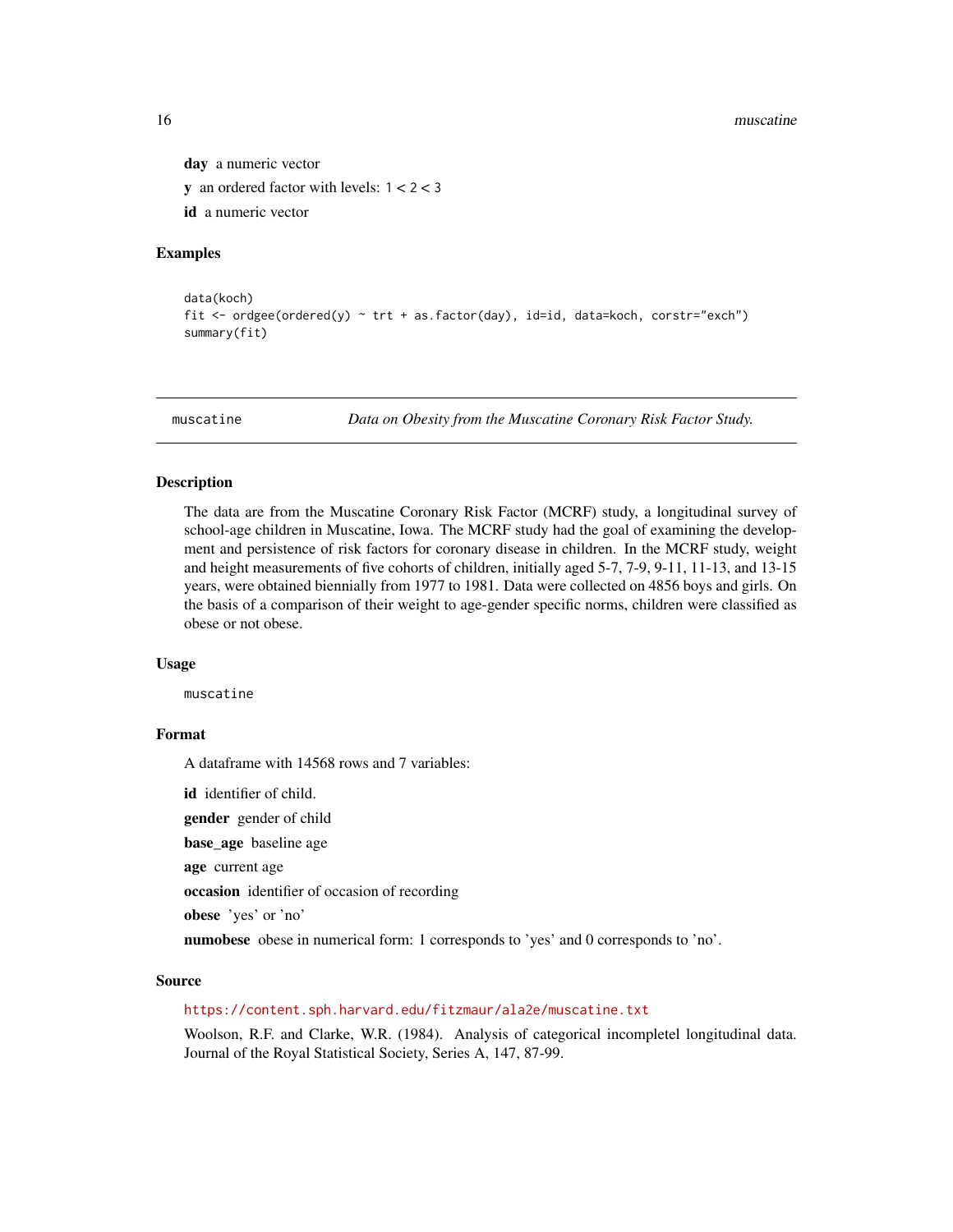day a numeric vector **y** an ordered factor with levels:  $1 < 2 < 3$ id a numeric vector

## Examples

```
data(koch)
fit <- ordgee(ordered(y) ~ trt + as.factor(day), id=id, data=koch, corstr="exch")
summary(fit)
```
muscatine *Data on Obesity from the Muscatine Coronary Risk Factor Study.*

#### Description

The data are from the Muscatine Coronary Risk Factor (MCRF) study, a longitudinal survey of school-age children in Muscatine, Iowa. The MCRF study had the goal of examining the development and persistence of risk factors for coronary disease in children. In the MCRF study, weight and height measurements of five cohorts of children, initially aged 5-7, 7-9, 9-11, 11-13, and 13-15 years, were obtained biennially from 1977 to 1981. Data were collected on 4856 boys and girls. On the basis of a comparison of their weight to age-gender specific norms, children were classified as obese or not obese.

#### Usage

muscatine

## Format

A dataframe with 14568 rows and 7 variables:

id identifier of child.

gender gender of child

base\_age baseline age

age current age

occasion identifier of occasion of recording

obese 'yes' or 'no'

numobese obese in numerical form: 1 corresponds to 'yes' and 0 corresponds to 'no'.

#### Source

#### <https://content.sph.harvard.edu/fitzmaur/ala2e/muscatine.txt>

Woolson, R.F. and Clarke, W.R. (1984). Analysis of categorical incompletel longitudinal data. Journal of the Royal Statistical Society, Series A, 147, 87-99.

<span id="page-15-0"></span>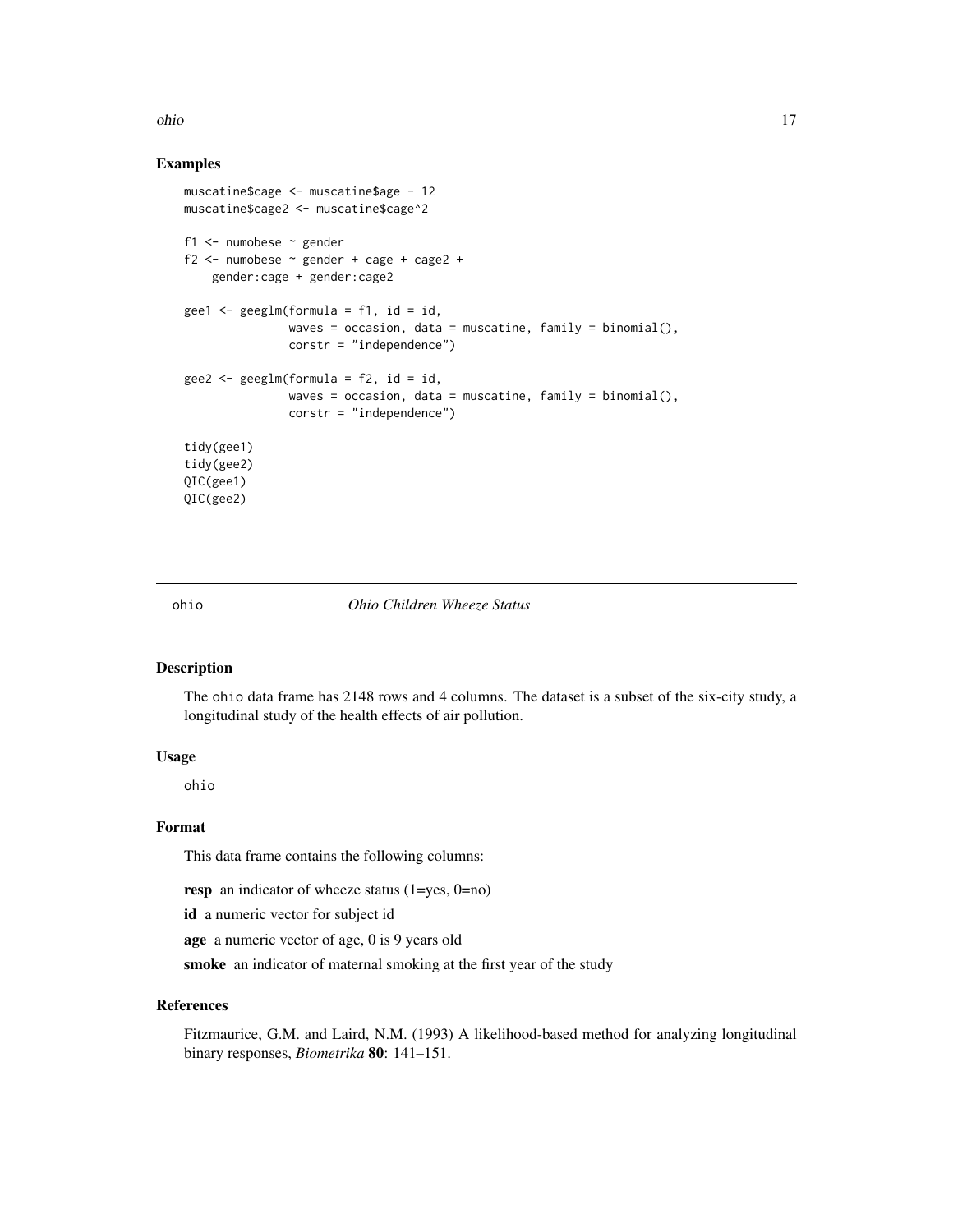#### <span id="page-16-0"></span>ohio 17

#### Examples

```
muscatine$cage <- muscatine$age - 12
muscatine$cage2 <- muscatine$cage^2
f1 <- numobese ~ gender
f2 \le - numobese \sim gender + cage + cage2 +
    gender:cage + gender:cage2
gee1 <- gee1m(formula = f1, id = id,
               waves = occasion, data = muscatine, family = binomial(),
               corstr = "independence")
gee2 \le - geeglm(formula = f2, id = id,waves = occasion, data = muscatine, family = binomial(),
               corstr = "independence")
tidy(gee1)
tidy(gee2)
QIC(gee1)
QIC(gee2)
```
#### ohio *Ohio Children Wheeze Status*

## Description

The ohio data frame has 2148 rows and 4 columns. The dataset is a subset of the six-city study, a longitudinal study of the health effects of air pollution.

#### Usage

ohio

## Format

This data frame contains the following columns:

resp an indicator of wheeze status  $(1 = yes, 0 = no)$ 

id a numeric vector for subject id

age a numeric vector of age, 0 is 9 years old

smoke an indicator of maternal smoking at the first year of the study

#### References

Fitzmaurice, G.M. and Laird, N.M. (1993) A likelihood-based method for analyzing longitudinal binary responses, *Biometrika* 80: 141–151.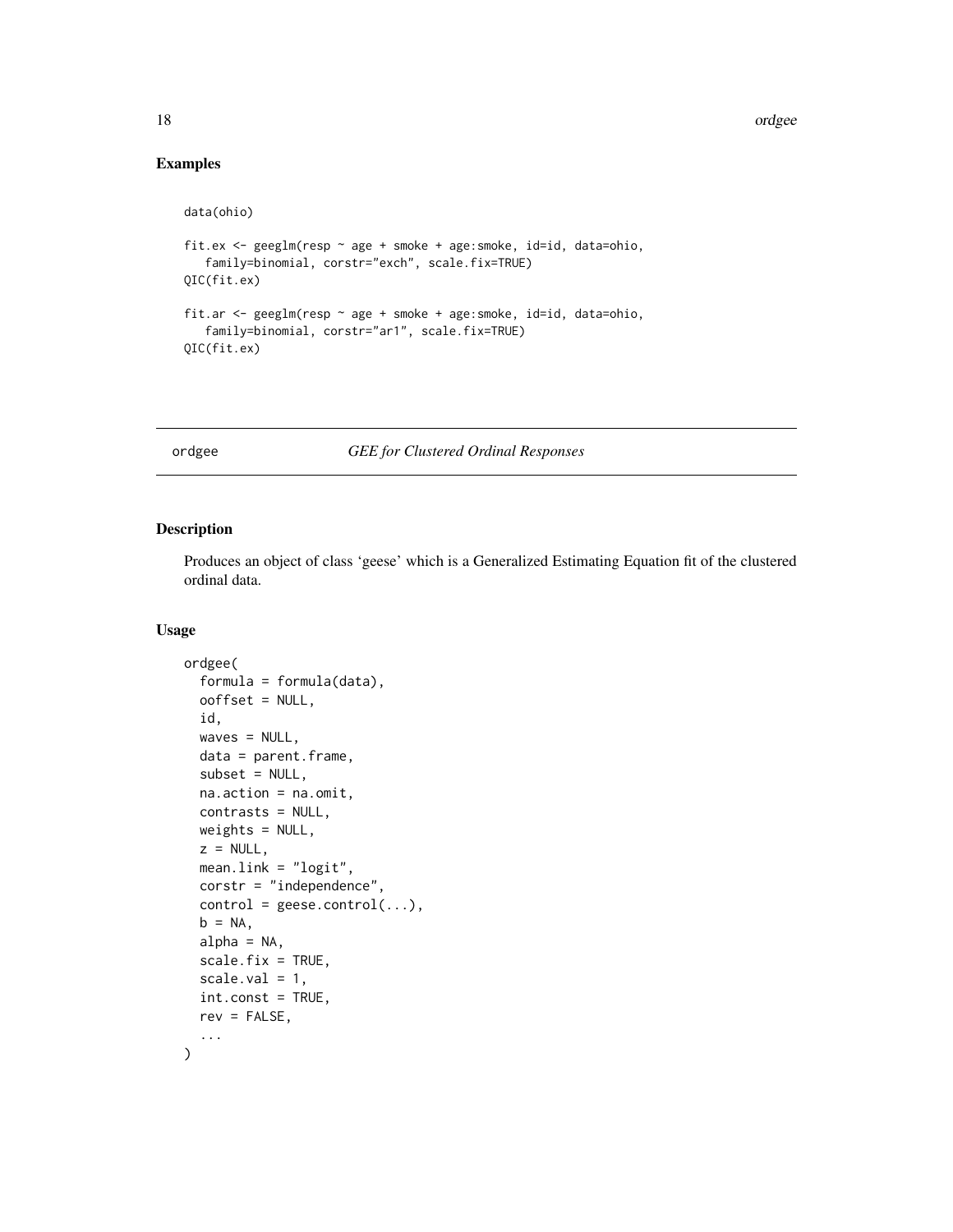## Examples

```
data(ohio)
fit.ex <- geeglm(resp ~ age + smoke + age:smoke, id=id, data=ohio,
   family=binomial, corstr="exch", scale.fix=TRUE)
QIC(fit.ex)
fit.ar <- geeglm(resp ~ age + smoke + age:smoke, id=id, data=ohio,
  family=binomial, corstr="ar1", scale.fix=TRUE)
QIC(fit.ex)
```
<span id="page-17-1"></span>ordgee *GEE for Clustered Ordinal Responses*

## Description

Produces an object of class 'geese' which is a Generalized Estimating Equation fit of the clustered ordinal data.

#### Usage

```
ordgee(
  formula = formula(data),
  ooffset = NULL,
  id,
 waves = NULL,data = parent.frame,
  subset = NULL,na.action = na.omit,
  contrasts = NULL,
 weights = NULL,
  z = NULL,mean.link = "logit",
  corstr = "independence",
  control = geese.contrib(...),b = NA,
  alpha = NA,
  scale.fix = TRUE,
  scale.val = 1,
  int.const = TRUE,
  rev = FALSE,
  ...
\mathcal{L}
```
<span id="page-17-0"></span>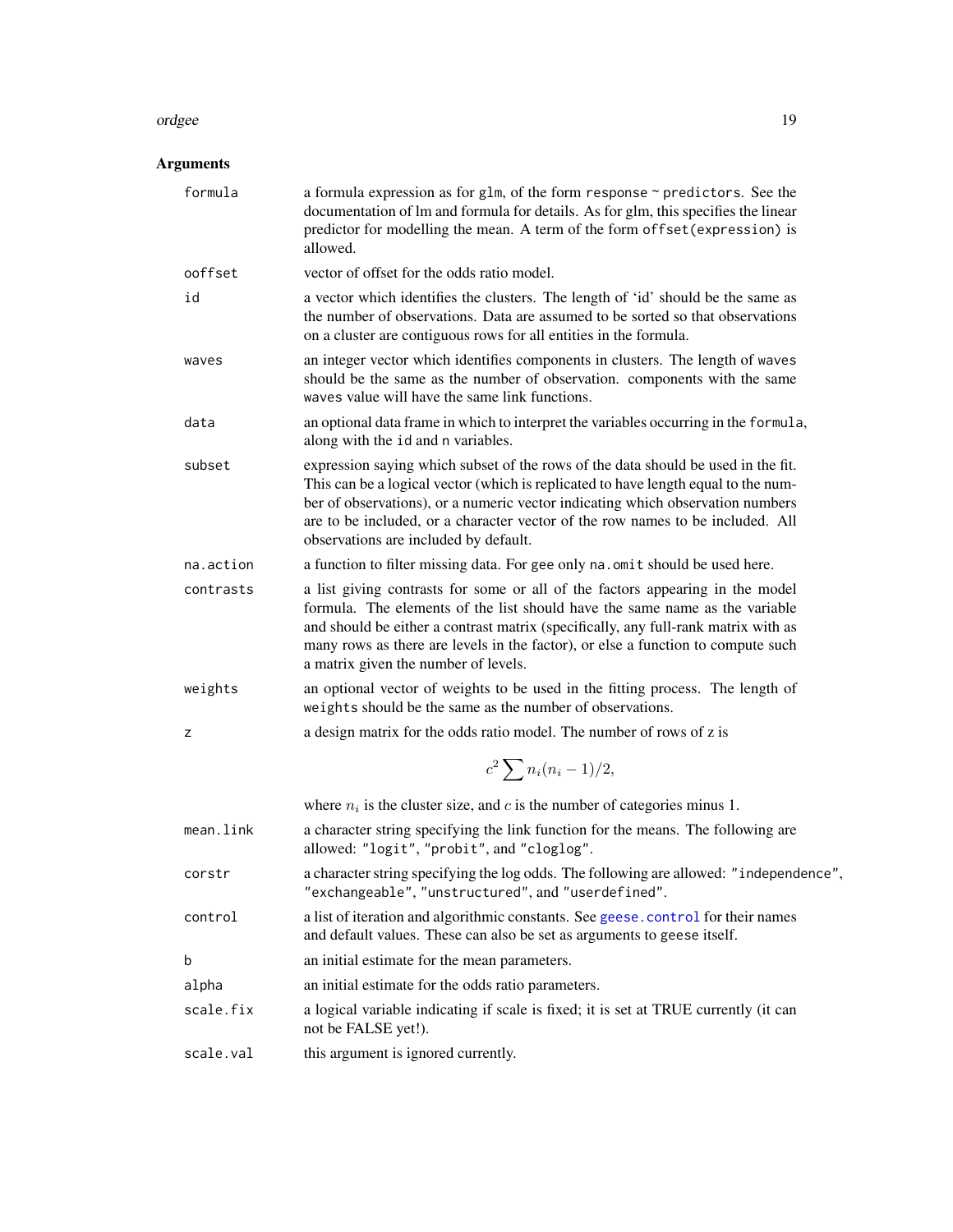#### <span id="page-18-0"></span>ordgee and the state of the state of the state of the state of the state of the state of the state of the state of the state of the state of the state of the state of the state of the state of the state of the state of the

## Arguments

| formula   | a formula expression as for glm, of the form response $\sim$ predictors. See the<br>documentation of lm and formula for details. As for glm, this specifies the linear<br>predictor for modelling the mean. A term of the form offset (expression) is<br>allowed.                                                                                                                    |
|-----------|--------------------------------------------------------------------------------------------------------------------------------------------------------------------------------------------------------------------------------------------------------------------------------------------------------------------------------------------------------------------------------------|
| ooffset   | vector of offset for the odds ratio model.                                                                                                                                                                                                                                                                                                                                           |
| id        | a vector which identifies the clusters. The length of 'id' should be the same as<br>the number of observations. Data are assumed to be sorted so that observations<br>on a cluster are contiguous rows for all entities in the formula.                                                                                                                                              |
| waves     | an integer vector which identifies components in clusters. The length of waves<br>should be the same as the number of observation. components with the same<br>waves value will have the same link functions.                                                                                                                                                                        |
| data      | an optional data frame in which to interpret the variables occurring in the formula,<br>along with the id and n variables.                                                                                                                                                                                                                                                           |
| subset    | expression saying which subset of the rows of the data should be used in the fit.<br>This can be a logical vector (which is replicated to have length equal to the num-<br>ber of observations), or a numeric vector indicating which observation numbers<br>are to be included, or a character vector of the row names to be included. All<br>observations are included by default. |
| na.action | a function to filter missing data. For gee only na. omit should be used here.                                                                                                                                                                                                                                                                                                        |
| contrasts | a list giving contrasts for some or all of the factors appearing in the model<br>formula. The elements of the list should have the same name as the variable<br>and should be either a contrast matrix (specifically, any full-rank matrix with as<br>many rows as there are levels in the factor), or else a function to compute such<br>a matrix given the number of levels.       |
| weights   | an optional vector of weights to be used in the fitting process. The length of<br>weights should be the same as the number of observations.                                                                                                                                                                                                                                          |
| z         | a design matrix for the odds ratio model. The number of rows of z is                                                                                                                                                                                                                                                                                                                 |
|           | $c^2 \sum n_i(n_i-1)/2,$                                                                                                                                                                                                                                                                                                                                                             |
|           | where $n_i$ is the cluster size, and c is the number of categories minus 1.                                                                                                                                                                                                                                                                                                          |
| mean.link | a character string specifying the link function for the means. The following are<br>allowed: "logit", "probit", and "cloglog".                                                                                                                                                                                                                                                       |
| corstr    | a character string specifying the log odds. The following are allowed: "independence",<br>"exchangeable", "unstructured", and "userdefined".                                                                                                                                                                                                                                         |
| control   | a list of iteration and algorithmic constants. See geese.control for their names<br>and default values. These can also be set as arguments to geese itself.                                                                                                                                                                                                                          |
| b         | an initial estimate for the mean parameters.                                                                                                                                                                                                                                                                                                                                         |
| alpha     | an initial estimate for the odds ratio parameters.                                                                                                                                                                                                                                                                                                                                   |
| scale.fix | a logical variable indicating if scale is fixed; it is set at TRUE currently (it can<br>not be FALSE yet!).                                                                                                                                                                                                                                                                          |
| scale.val | this argument is ignored currently.                                                                                                                                                                                                                                                                                                                                                  |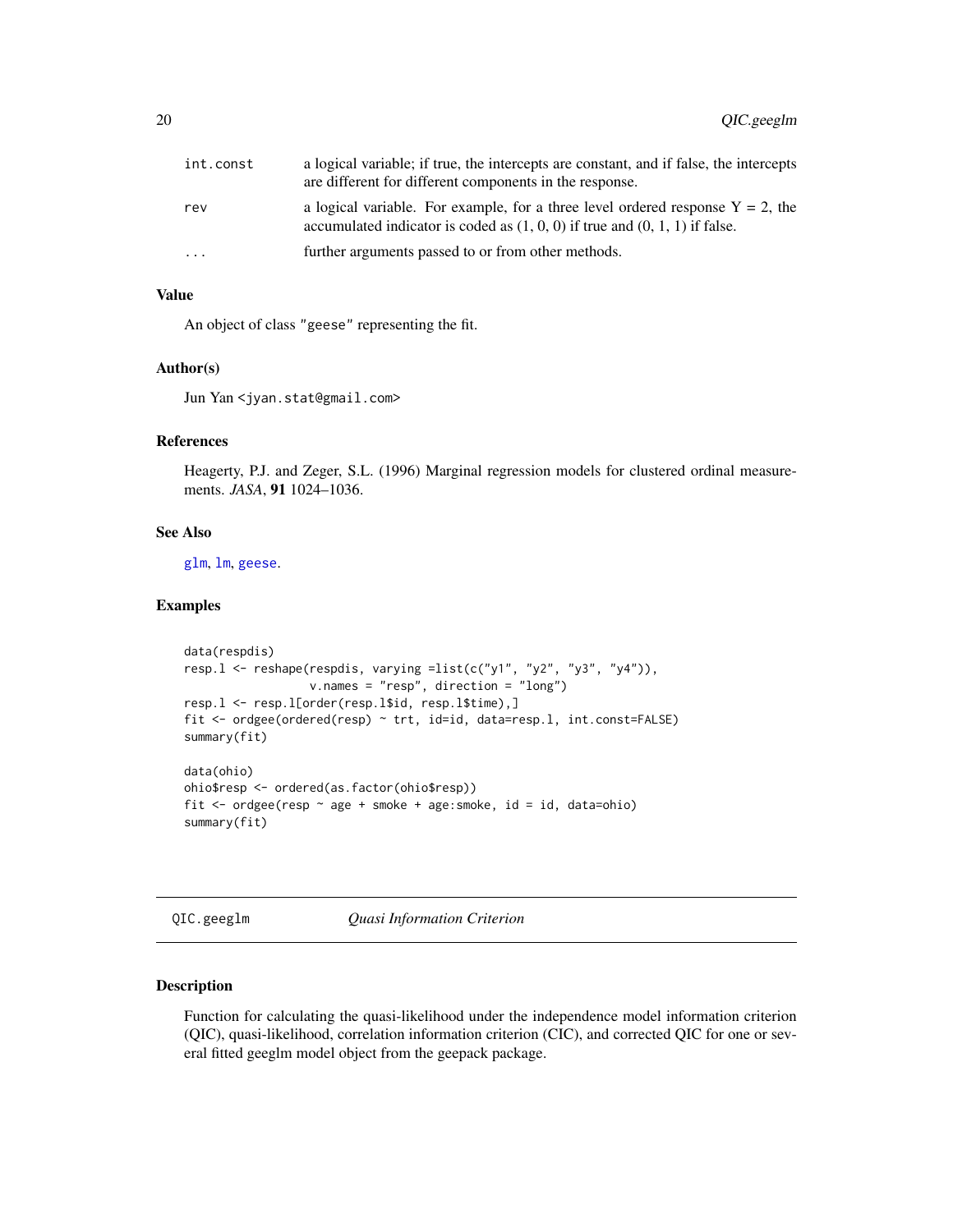<span id="page-19-0"></span>

| int.const | a logical variable; if true, the intercepts are constant, and if false, the intercepts<br>are different for different components in the response.                    |
|-----------|----------------------------------------------------------------------------------------------------------------------------------------------------------------------|
| rev       | a logical variable. For example, for a three level ordered response $Y = 2$ , the<br>accumulated indicator is coded as $(1, 0, 0)$ if true and $(0, 1, 1)$ if false. |
| $\ddots$  | further arguments passed to or from other methods.                                                                                                                   |

#### Value

An object of class "geese" representing the fit.

#### Author(s)

Jun Yan <jyan.stat@gmail.com>

## References

Heagerty, P.J. and Zeger, S.L. (1996) Marginal regression models for clustered ordinal measurements. *JASA*, 91 1024–1036.

## See Also

[glm](#page-0-0), [lm](#page-0-0), [geese](#page-8-1).

#### Examples

```
data(respdis)
resp.l <- reshape(respdis, varying =list(c("y1", "y2", "y3", "y4")),
                  v.names = "resp", direction = "long")
resp.l <- resp.l[order(resp.l$id, resp.l$time),]
fit <- ordgee(ordered(resp) ~ trt, id=id, data=resp.l, int.const=FALSE)
summary(fit)
data(ohio)
ohio$resp <- ordered(as.factor(ohio$resp))
fit <- ordgee(resp ~ age + smoke + age:smoke, id = id, data=ohio)
summary(fit)
```

```
QIC.geeglm Quasi Information Criterion
```
#### Description

Function for calculating the quasi-likelihood under the independence model information criterion (QIC), quasi-likelihood, correlation information criterion (CIC), and corrected QIC for one or several fitted geeglm model object from the geepack package.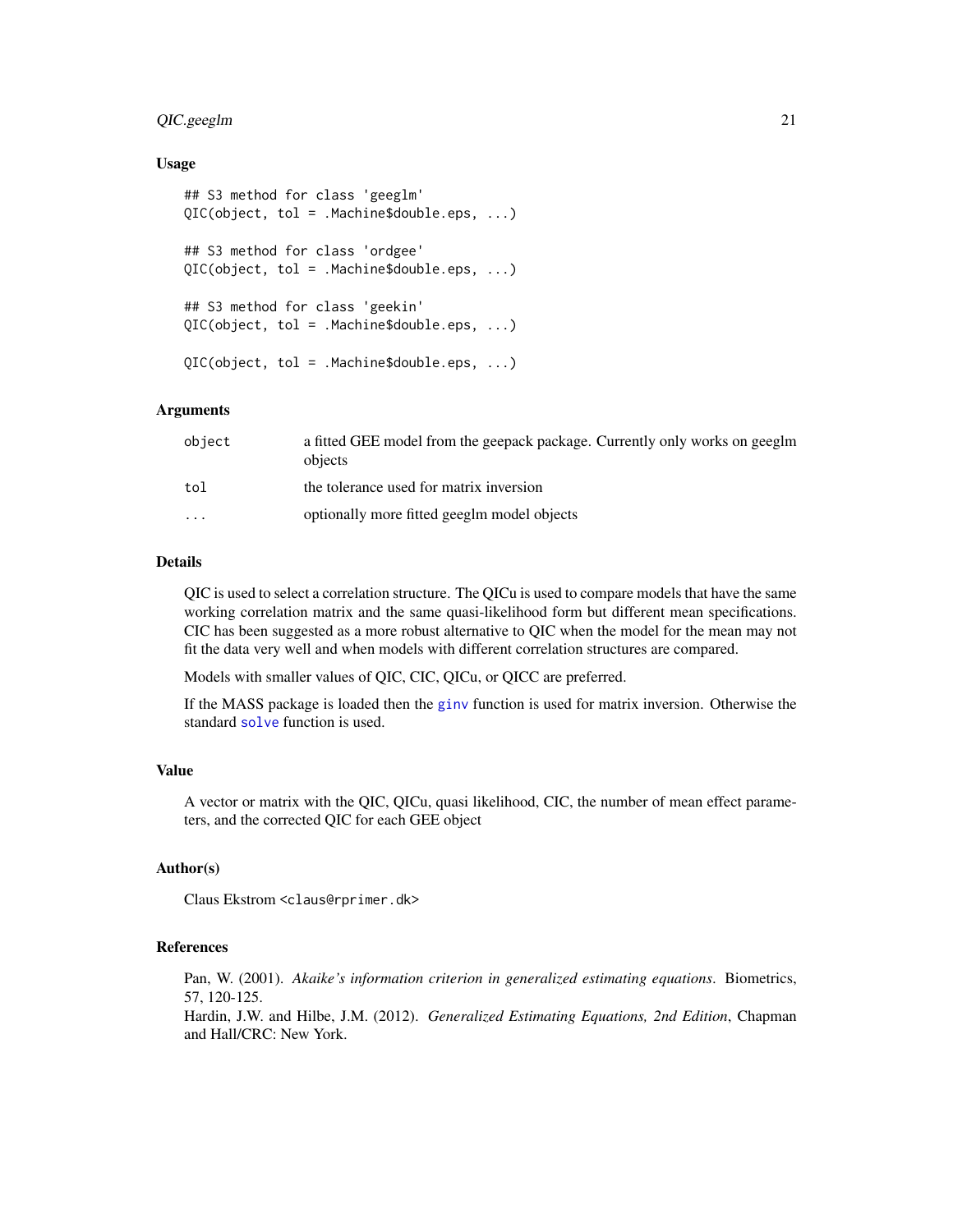#### <span id="page-20-0"></span>QIC.geeglm 21

#### Usage

```
## S3 method for class 'geeglm'
QIC(object, tol = .Machine$double.eps, ...)
## S3 method for class 'ordgee'
QIC(object, tol = .Machine$double.eps, ...)
## S3 method for class 'geekin'
QIC(object, tol = .Machine$double.eps, ...)
QIC(object, tol = .Machine$double.eps, ...)
```
#### Arguments

| object                  | a fitted GEE model from the geepack package. Currently only works on geeglm<br>objects |
|-------------------------|----------------------------------------------------------------------------------------|
| tol                     | the tolerance used for matrix inversion                                                |
| $\cdot$ $\cdot$ $\cdot$ | optionally more fitted geeglm model objects                                            |

#### Details

QIC is used to select a correlation structure. The QICu is used to compare models that have the same working correlation matrix and the same quasi-likelihood form but different mean specifications. CIC has been suggested as a more robust alternative to QIC when the model for the mean may not fit the data very well and when models with different correlation structures are compared.

Models with smaller values of QIC, CIC, QICu, or QICC are preferred.

If the MASS package is loaded then the [ginv](#page-0-0) function is used for matrix inversion. Otherwise the standard [solve](#page-0-0) function is used.

#### Value

A vector or matrix with the QIC, QICu, quasi likelihood, CIC, the number of mean effect parameters, and the corrected QIC for each GEE object

#### Author(s)

Claus Ekstrom <claus@rprimer.dk>

#### References

Pan, W. (2001). *Akaike's information criterion in generalized estimating equations*. Biometrics, 57, 120-125.

Hardin, J.W. and Hilbe, J.M. (2012). *Generalized Estimating Equations, 2nd Edition*, Chapman and Hall/CRC: New York.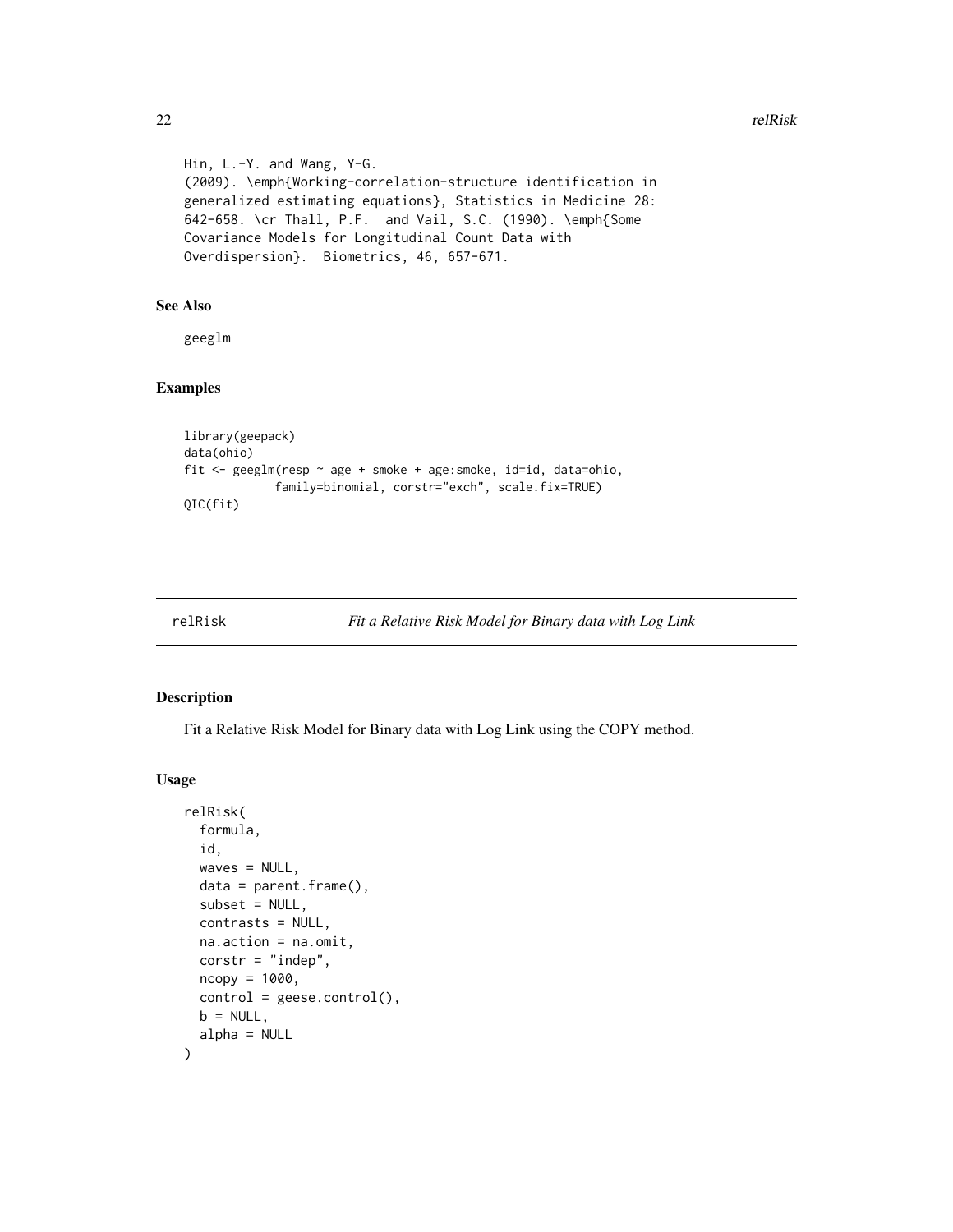```
Hin, L.-Y. and Wang, Y-G.
(2009). \emph{Working-correlation-structure identification in
generalized estimating equations}, Statistics in Medicine 28:
642-658. \cr Thall, P.F. and Vail, S.C. (1990). \emph{Some
Covariance Models for Longitudinal Count Data with
Overdispersion}. Biometrics, 46, 657-671.
```
## See Also

geeglm

## Examples

```
library(geepack)
data(ohio)
fit <- geeglm(resp ~ age + smoke + age:smoke, id=id, data=ohio,
             family=binomial, corstr="exch", scale.fix=TRUE)
QIC(fit)
```
#### Description

Fit a Relative Risk Model for Binary data with Log Link using the COPY method.

#### Usage

```
relRisk(
  formula,
  id,
 waves = NULL,
  data = parent.frame(),subset = NULL,contrasts = NULL,
 na.action = na.omit,
  \text{corr} = "indep",ncopy = 1000,
 control = geese.contrib(),b = NULL,alpha = NULL)
```
<span id="page-21-0"></span>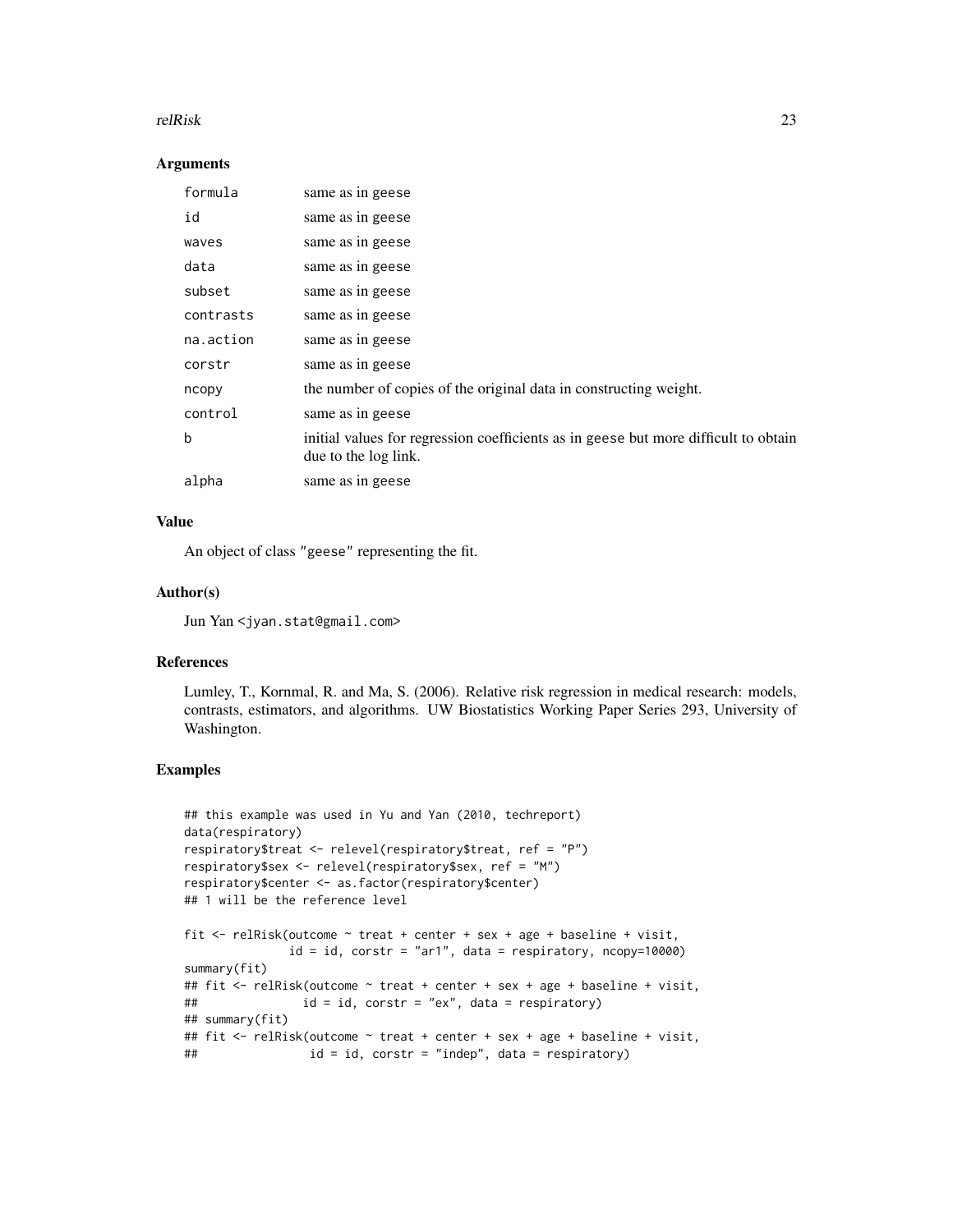#### relRisk 23

#### Arguments

| formula   | same as in geese                                                                                            |
|-----------|-------------------------------------------------------------------------------------------------------------|
| id        | same as in geese                                                                                            |
| waves     | same as in geese                                                                                            |
| data      | same as in geese                                                                                            |
| subset    | same as in geese                                                                                            |
| contrasts | same as in geese                                                                                            |
| na.action | same as in geese                                                                                            |
| corstr    | same as in geese                                                                                            |
| ncopy     | the number of copies of the original data in constructing weight.                                           |
| control   | same as in geese                                                                                            |
| b         | initial values for regression coefficients as in geese but more difficult to obtain<br>due to the log link. |
| alpha     | same as in geese                                                                                            |

## Value

An object of class "geese" representing the fit.

#### Author(s)

Jun Yan <jyan.stat@gmail.com>

### References

Lumley, T., Kornmal, R. and Ma, S. (2006). Relative risk regression in medical research: models, contrasts, estimators, and algorithms. UW Biostatistics Working Paper Series 293, University of Washington.

```
## this example was used in Yu and Yan (2010, techreport)
data(respiratory)
respiratory$treat <- relevel(respiratory$treat, ref = "P")
respiratory$sex <- relevel(respiratory$sex, ref = "M")
respiratory$center <- as.factor(respiratory$center)
## 1 will be the reference level
fit <- relRisk(outcome ~ treat + center + sex + age + baseline + visit,
              id = id, corstr = "ar1", data = respiratory, ncopy=10000)
summary(fit)
## fit <- relRisk(outcome ~ treat + center + sex + age + baseline + visit,
## id = id, corstr = "ex", data = respiratory)
## summary(fit)
## fit <- relRisk(outcome ~ treat + center + sex + age + baseline + visit,
## id = id, corstr = "indep", data = respiratory)
```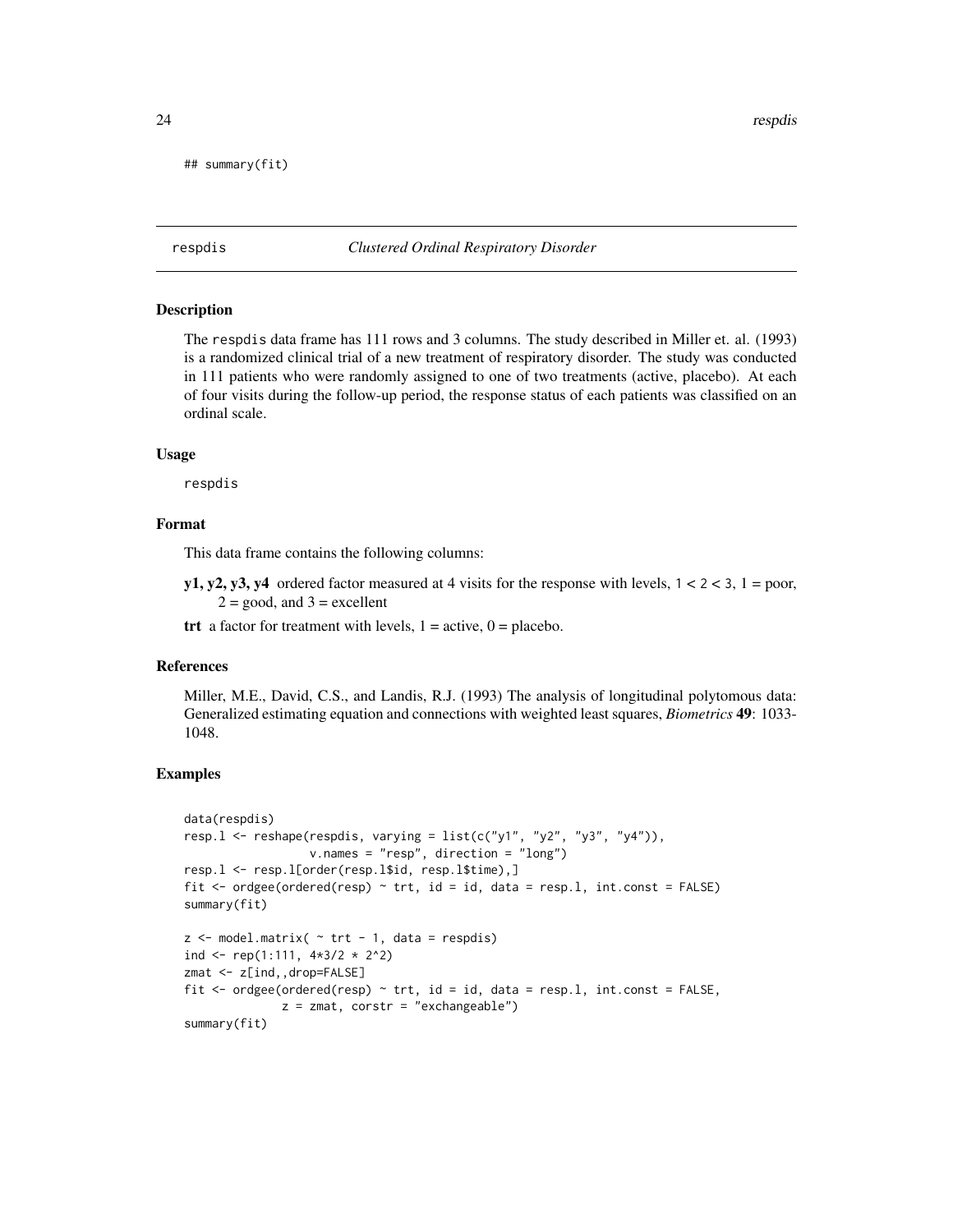```
## summary(fit)
```
respdis *Clustered Ordinal Respiratory Disorder*

#### **Description**

The respdis data frame has 111 rows and 3 columns. The study described in Miller et. al. (1993) is a randomized clinical trial of a new treatment of respiratory disorder. The study was conducted in 111 patients who were randomly assigned to one of two treatments (active, placebo). At each of four visits during the follow-up period, the response status of each patients was classified on an ordinal scale.

#### Usage

respdis

#### Format

This data frame contains the following columns:

y1, y2, y3, y4 ordered factor measured at 4 visits for the response with levels,  $1 < 2 < 3$ ,  $1 =$  poor,  $2 = \text{good}$ , and  $3 = \text{excellent}$ 

trt a factor for treatment with levels,  $1 = \text{active}, 0 = \text{placebo}.$ 

#### References

Miller, M.E., David, C.S., and Landis, R.J. (1993) The analysis of longitudinal polytomous data: Generalized estimating equation and connections with weighted least squares, *Biometrics* 49: 1033- 1048.

```
data(respdis)
resp.l <- reshape(respdis, varying = list(c("y1", "y2", "y3", "y4")),
                  v.names = "resp", direction = "long")
resp.l <- resp.l[order(resp.l$id, resp.l$time),]
fit \le- ordgee(ordered(resp) \sim trt, id = id, data = resp.l, int.const = FALSE)
summary(fit)
z \le model.matrix( \sim trt - 1, data = respdis)
ind <- rep(1:111, 4*3/2 * 2^2)zmat <- z[ind,,drop=FALSE]
fit \leq ordgee(ordered(resp) \sim trt, id = id, data = resp.1, int.const = FALSE,
              z = zmat, corstr = "exchangeable")
summary(fit)
```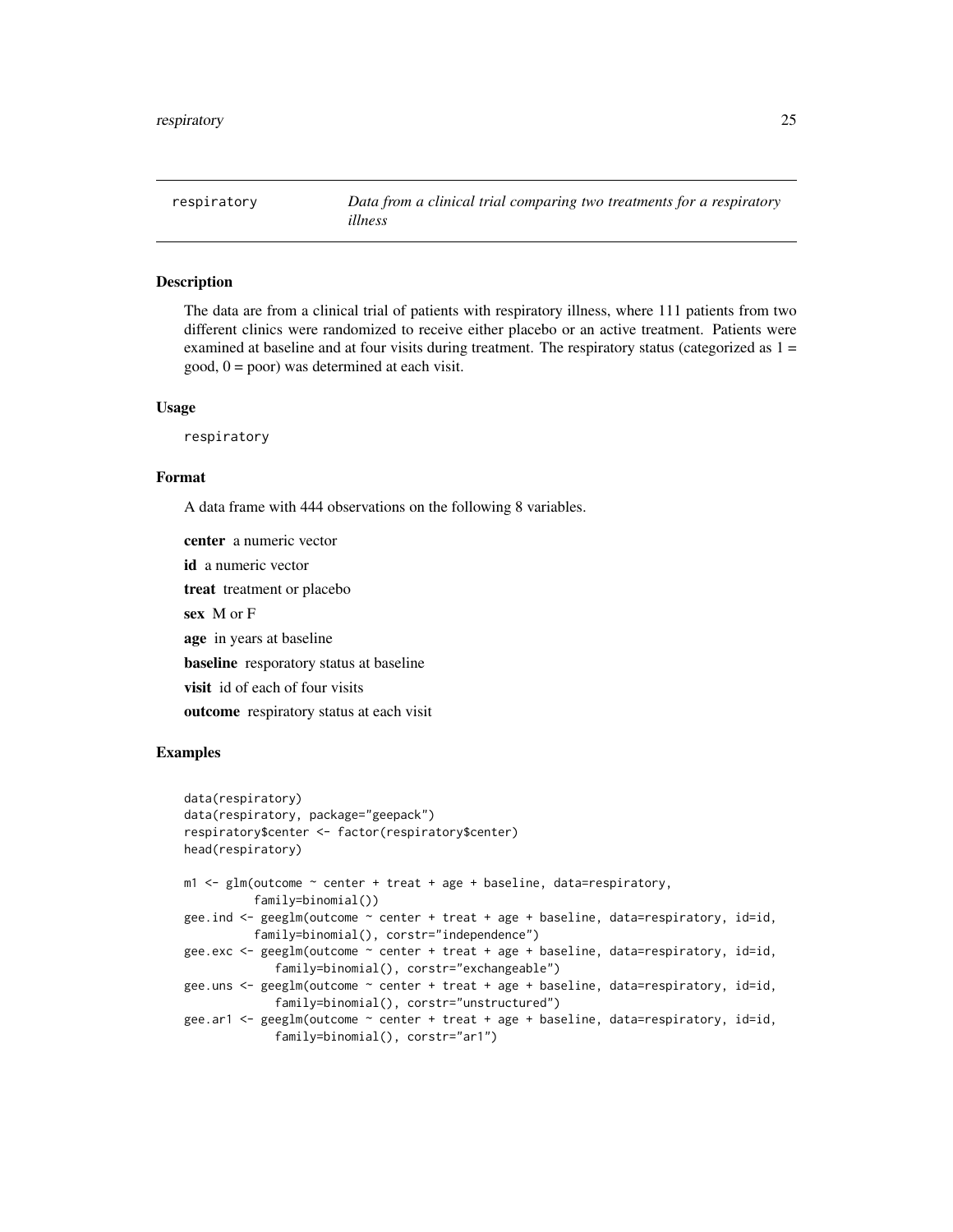<span id="page-24-0"></span>

## Description

The data are from a clinical trial of patients with respiratory illness, where 111 patients from two different clinics were randomized to receive either placebo or an active treatment. Patients were examined at baseline and at four visits during treatment. The respiratory status (categorized as  $1 =$  $good, 0 = poor$ ) was determined at each visit.

#### Usage

respiratory

## Format

A data frame with 444 observations on the following 8 variables.

center a numeric vector id a numeric vector treat treatment or placebo sex M or F age in years at baseline baseline resporatory status at baseline visit id of each of four visits outcome respiratory status at each visit

```
data(respiratory)
data(respiratory, package="geepack")
respiratory$center <- factor(respiratory$center)
head(respiratory)
m1 <- glm(outcome ~ center + treat + age + baseline, data=respiratory,
          family=binomial())
gee.ind <- geeglm(outcome ~ center + treat + age + baseline, data=respiratory, id=id,
          family=binomial(), corstr="independence")
gee.exc <- geeglm(outcome \sim center + treat + age + baseline, data=respiratory, id=id,
             family=binomial(), corstr="exchangeable")
gee.uns \leq geeglm(outcome \sim center + treat + age + baseline, data=respiratory, id=id,
             family=binomial(), corstr="unstructured")
gee.ar1 <- geeglm(outcome ~ center + treat + age + baseline, data=respiratory, id=id,
             family=binomial(), corstr="ar1")
```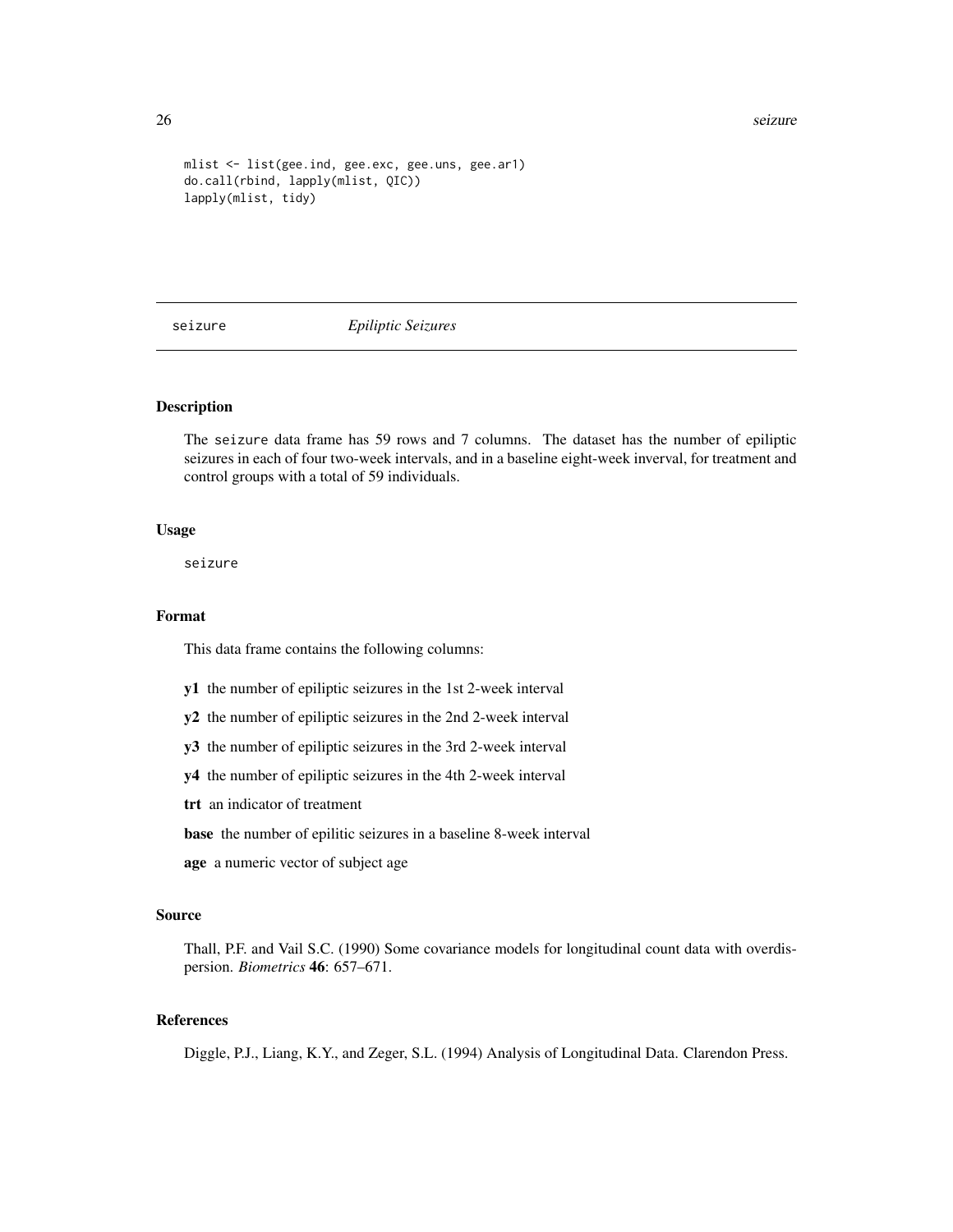#### <span id="page-25-0"></span>26 seizure

```
mlist <- list(gee.ind, gee.exc, gee.uns, gee.ar1)
do.call(rbind, lapply(mlist, QIC))
lapply(mlist, tidy)
```
seizure *Epiliptic Seizures*

#### Description

The seizure data frame has 59 rows and 7 columns. The dataset has the number of epiliptic seizures in each of four two-week intervals, and in a baseline eight-week inverval, for treatment and control groups with a total of 59 individuals.

#### Usage

seizure

#### Format

This data frame contains the following columns:

- y1 the number of epiliptic seizures in the 1st 2-week interval
- y2 the number of epiliptic seizures in the 2nd 2-week interval

y3 the number of epiliptic seizures in the 3rd 2-week interval

y4 the number of epiliptic seizures in the 4th 2-week interval

trt an indicator of treatment

base the number of epilitic seizures in a baseline 8-week interval

age a numeric vector of subject age

#### Source

Thall, P.F. and Vail S.C. (1990) Some covariance models for longitudinal count data with overdispersion. *Biometrics* 46: 657–671.

## References

Diggle, P.J., Liang, K.Y., and Zeger, S.L. (1994) Analysis of Longitudinal Data. Clarendon Press.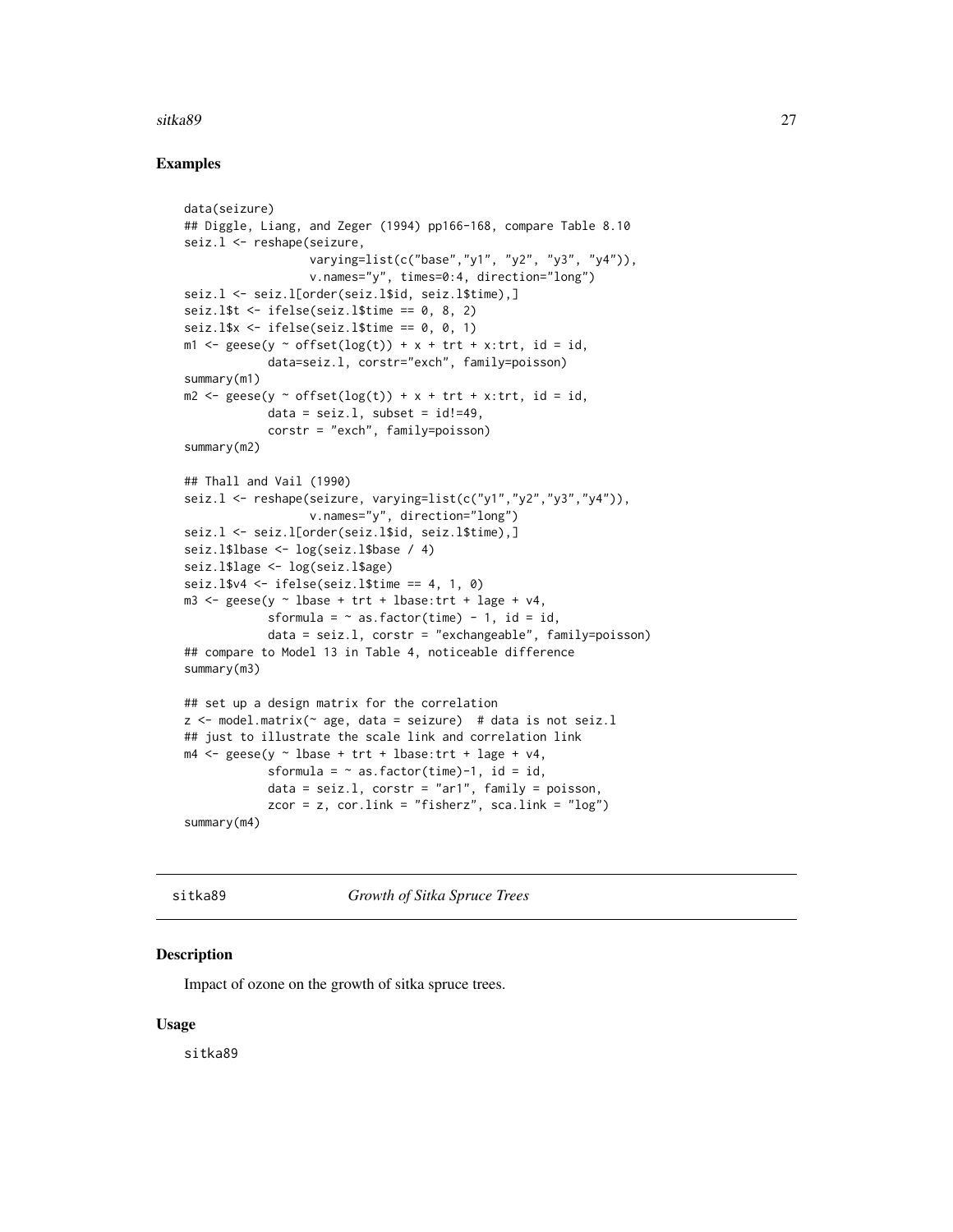#### <span id="page-26-0"></span>sitka89 27

## Examples

```
data(seizure)
## Diggle, Liang, and Zeger (1994) pp166-168, compare Table 8.10
seiz.l <- reshape(seizure,
                  varying=list(c("base","y1", "y2", "y3", "y4")),
                  v.names="y", times=0:4, direction="long")
seiz.l <- seiz.l[order(seiz.l$id, seiz.l$time),]
seiz.l$t \le ifelse(seiz.l$time == 0, 8, 2)
seiz.l$x \leftarrow ifelse(seiz.l$time == 0, 0, 1)
m1 <- geese(y \sim offset(log(t)) + x + trt + x:trt, id = id,
            data=seiz.l, corstr="exch", family=poisson)
summary(m1)
m2 \leq geese(y \sim offset(log(t)) + x + trt + x:trt, id = id,
            data = seiz.1, subset = id!=49,
            corstr = "exch", family=poisson)
summary(m2)
## Thall and Vail (1990)
seiz.l <- reshape(seizure, varying=list(c("y1","y2","y3","y4")),
                  v.names="y", direction="long")
seiz.l <- seiz.l[order(seiz.l$id, seiz.l$time),]
seiz.l$lbase <- log(seiz.l$base / 4)
seiz.l$lage <- log(seiz.l$age)
seiz.l$v4 <- ifelse(seiz.l$time == 4, 1, 0)
m3 \leq geese(y \sim lbase + trt + lbase:trt + lage + v4,
            sformula = \sim as.factor(time) - 1, id = id,
            data = seiz.l, corstr = "exchangeable", family=poisson)
## compare to Model 13 in Table 4, noticeable difference
summary(m3)
## set up a design matrix for the correlation
z \le model.matrix(\sim age, data = seizure) # data is not seiz.l
## just to illustrate the scale link and correlation link
m4 \leq geese(y \sim lbase + trt + lbase:trt + lage + v4,
            sformula = \sim as.factor(time)-1, id = id,
            data = seiz.1, costr = "ar1", family = poisson,zcor = z, cor.link = "fisherz", sca.link = "log")
summary(m4)
```
sitka89 *Growth of Sitka Spruce Trees*

#### Description

Impact of ozone on the growth of sitka spruce trees.

#### Usage

sitka89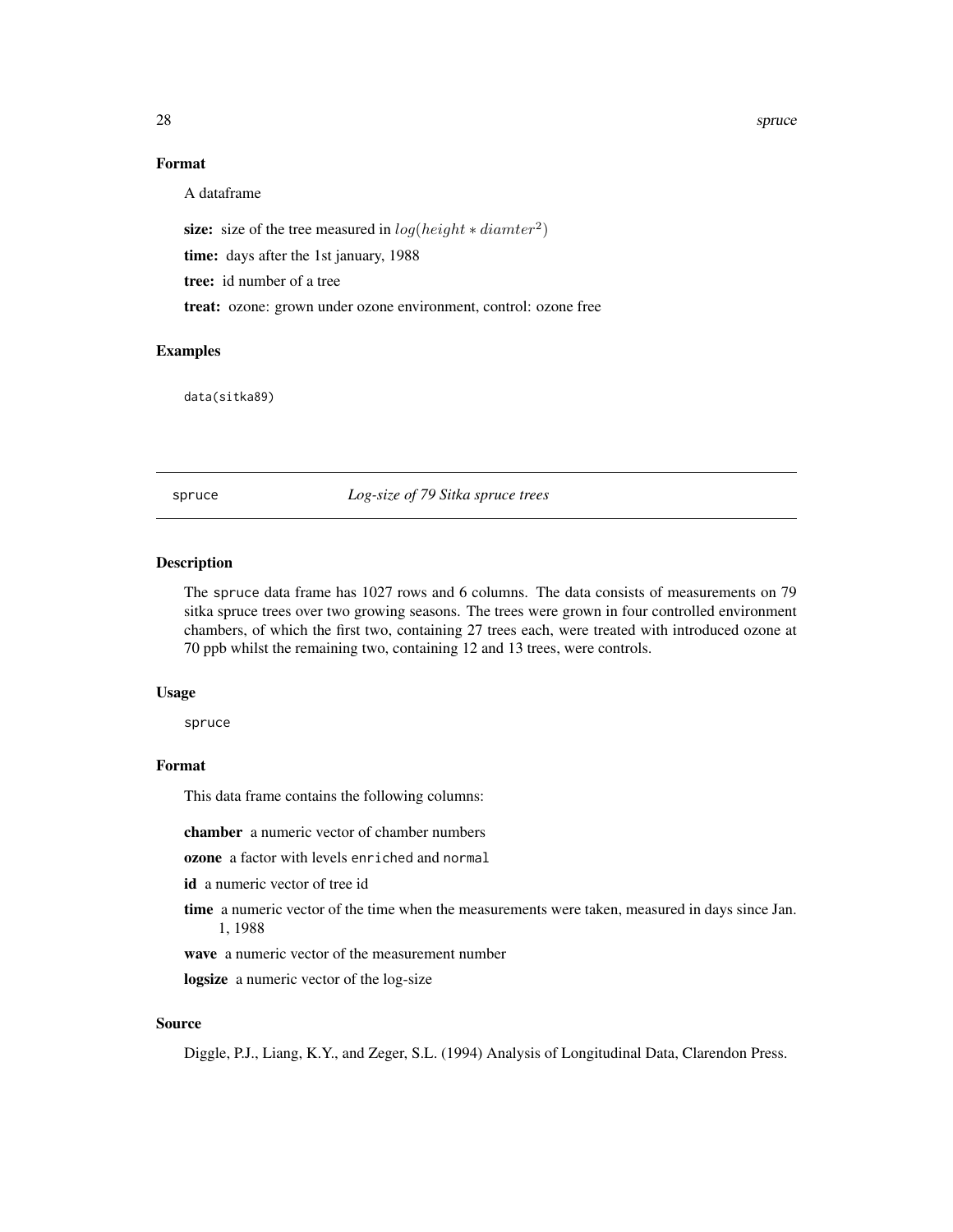## <span id="page-27-0"></span>Format

A dataframe

size: size of the tree measured in  $log(height * diameter^2)$ 

time: days after the 1st january, 1988

tree: id number of a tree

treat: ozone: grown under ozone environment, control: ozone free

## Examples

data(sitka89)

spruce *Log-size of 79 Sitka spruce trees*

## Description

The spruce data frame has 1027 rows and 6 columns. The data consists of measurements on 79 sitka spruce trees over two growing seasons. The trees were grown in four controlled environment chambers, of which the first two, containing 27 trees each, were treated with introduced ozone at 70 ppb whilst the remaining two, containing 12 and 13 trees, were controls.

#### Usage

spruce

## Format

This data frame contains the following columns:

chamber a numeric vector of chamber numbers

ozone a factor with levels enriched and normal

id a numeric vector of tree id

time a numeric vector of the time when the measurements were taken, measured in days since Jan. 1, 1988

wave a numeric vector of the measurement number

logsize a numeric vector of the log-size

#### Source

Diggle, P.J., Liang, K.Y., and Zeger, S.L. (1994) Analysis of Longitudinal Data, Clarendon Press.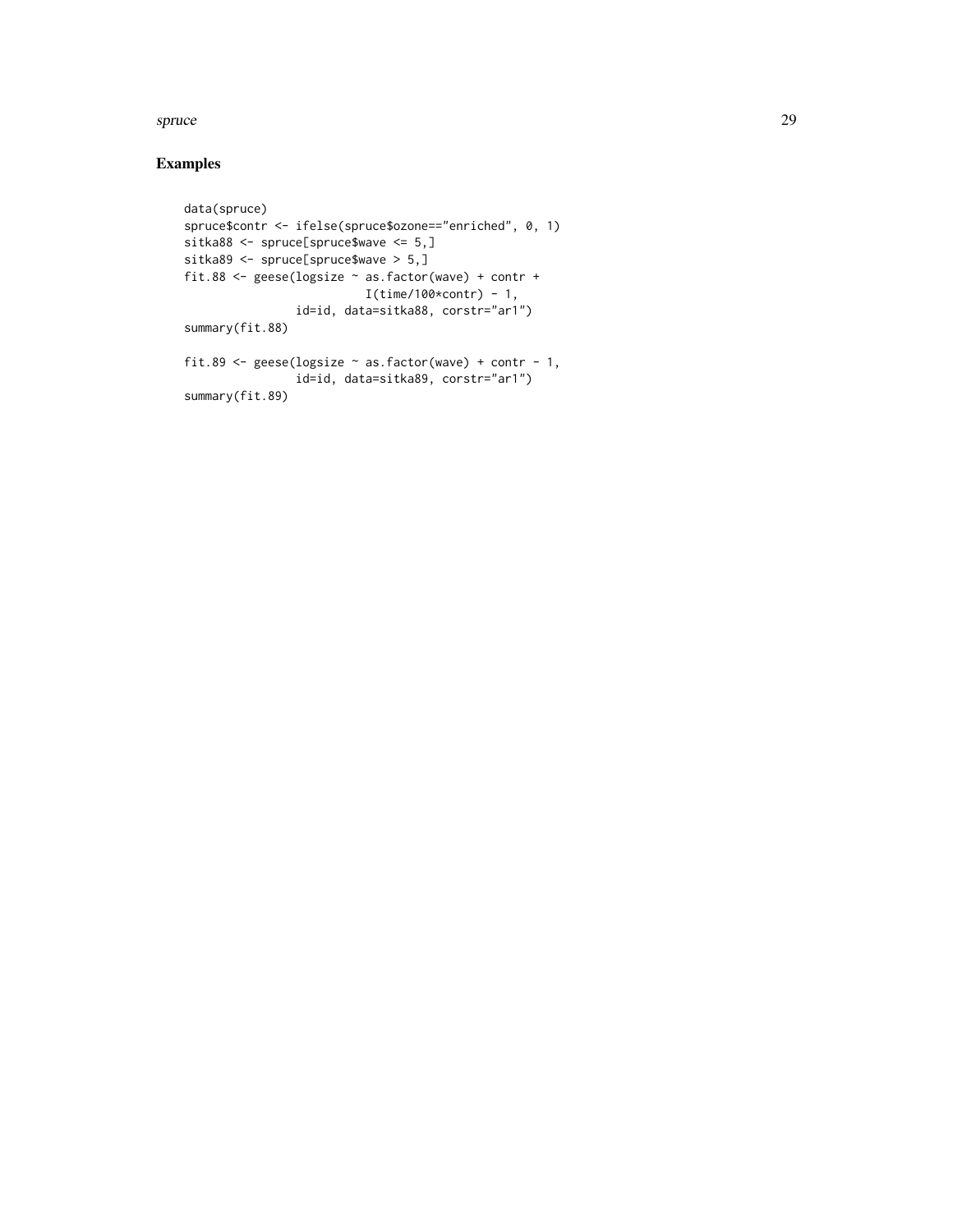#### spruce 29

## Examples

```
data(spruce)
spruce$contr <- ifelse(spruce$ozone=="enriched", 0, 1)
sitka88 <- spruce[spruce$wave <= 5,]
sitka89 <- spruce[spruce$wave > 5,]
fit.88 <- geese(logsize ~ as.factor(wave) + contr +
                         I(time/100*contr) - 1,id=id, data=sitka88, corstr="ar1")
summary(fit.88)
fit.89 <- geese(logsize ~ as.factor(wave) + contr - 1,
               id=id, data=sitka89, corstr="ar1")
```
summary(fit.89)